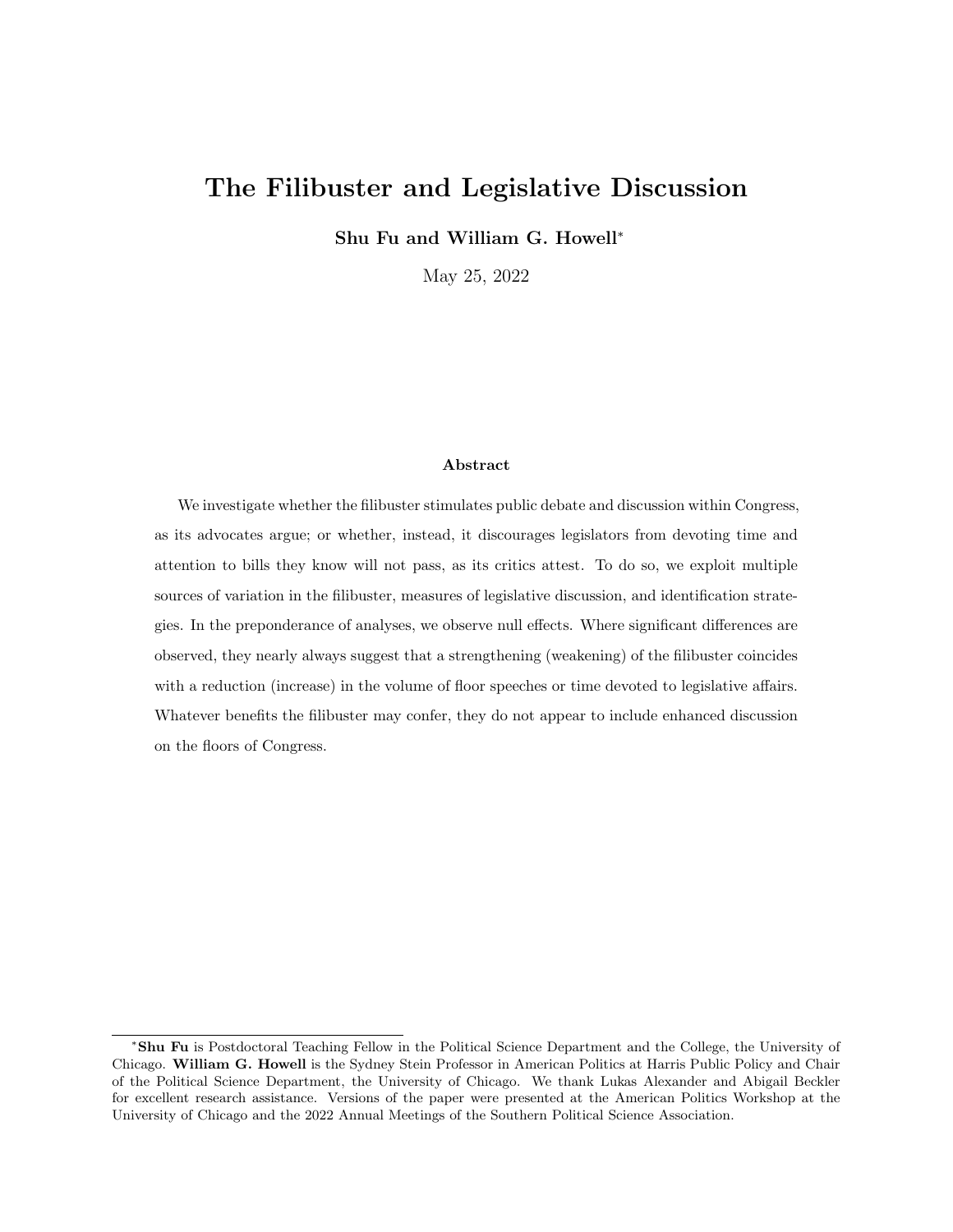# The Filibuster and Legislative Discussion

Shu Fu and William G. Howell<sup>∗</sup>

May 25, 2022

### Abstract

We investigate whether the filibuster stimulates public debate and discussion within Congress, as its advocates argue; or whether, instead, it discourages legislators from devoting time and attention to bills they know will not pass, as its critics attest. To do so, we exploit multiple sources of variation in the filibuster, measures of legislative discussion, and identification strategies. In the preponderance of analyses, we observe null effects. Where significant differences are observed, they nearly always suggest that a strengthening (weakening) of the filibuster coincides with a reduction (increase) in the volume of floor speeches or time devoted to legislative affairs. Whatever benefits the filibuster may confer, they do not appear to include enhanced discussion on the floors of Congress.

<sup>∗</sup>Shu Fu is Postdoctoral Teaching Fellow in the Political Science Department and the College, the University of Chicago. William G. Howell is the Sydney Stein Professor in American Politics at Harris Public Policy and Chair of the Political Science Department, the University of Chicago. We thank Lukas Alexander and Abigail Beckler for excellent research assistance. Versions of the paper were presented at the American Politics Workshop at the University of Chicago and the 2022 Annual Meetings of the Southern Political Science Association.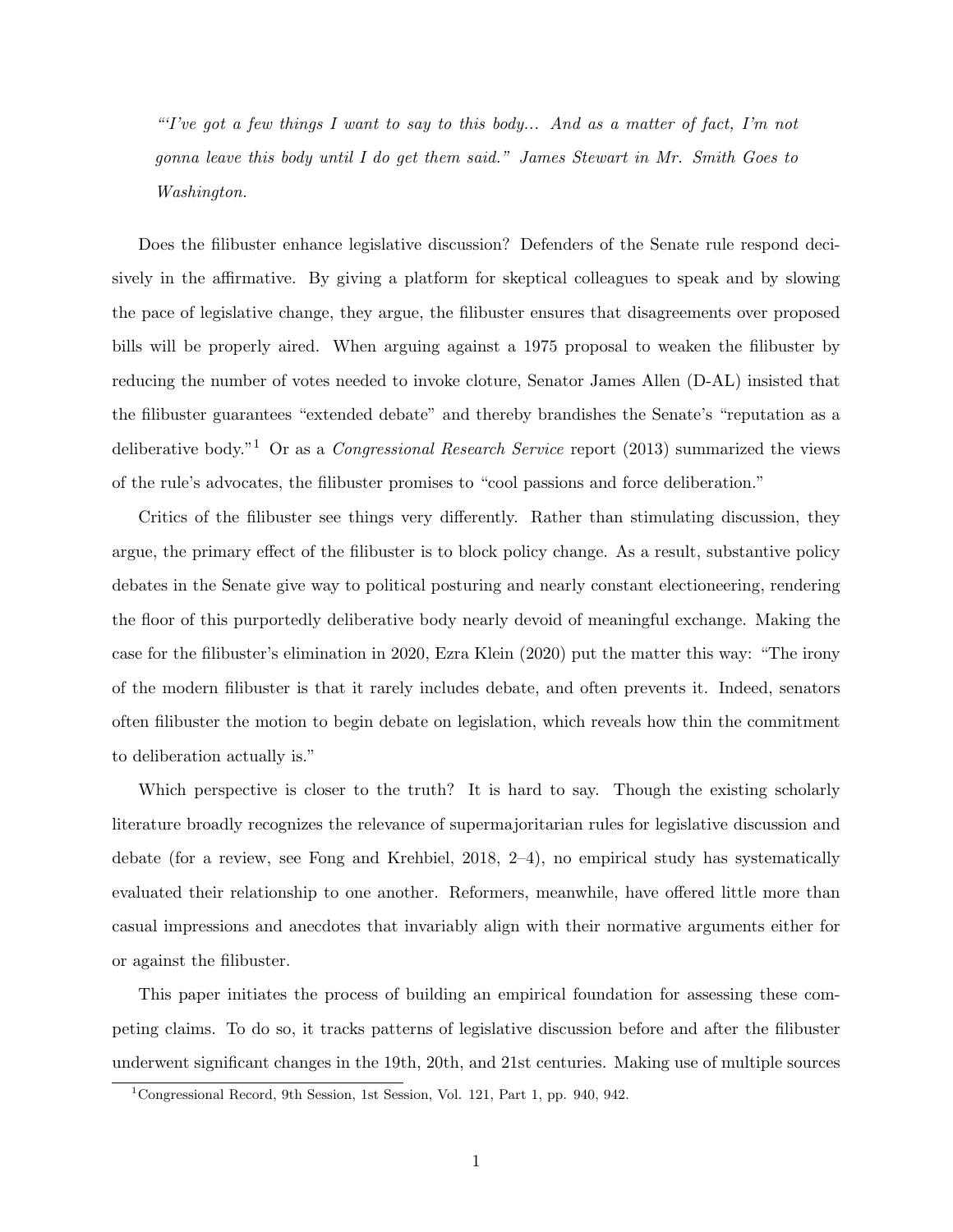"Tve got a few things I want to say to this body... And as a matter of fact, I'm not gonna leave this body until I do get them said." James Stewart in Mr. Smith Goes to Washington.

Does the filibuster enhance legislative discussion? Defenders of the Senate rule respond decisively in the affirmative. By giving a platform for skeptical colleagues to speak and by slowing the pace of legislative change, they argue, the filibuster ensures that disagreements over proposed bills will be properly aired. When arguing against a 1975 proposal to weaken the filibuster by reducing the number of votes needed to invoke cloture, Senator James Allen (D-AL) insisted that the filibuster guarantees "extended debate" and thereby brandishes the Senate's "reputation as a deliberative body."<sup>1</sup> Or as a *Congressional Research Service* report (2013) summarized the views of the rule's advocates, the filibuster promises to "cool passions and force deliberation."

Critics of the filibuster see things very differently. Rather than stimulating discussion, they argue, the primary effect of the filibuster is to block policy change. As a result, substantive policy debates in the Senate give way to political posturing and nearly constant electioneering, rendering the floor of this purportedly deliberative body nearly devoid of meaningful exchange. Making the case for the filibuster's elimination in 2020, Ezra Klein (2020) put the matter this way: "The irony of the modern filibuster is that it rarely includes debate, and often prevents it. Indeed, senators often filibuster the motion to begin debate on legislation, which reveals how thin the commitment to deliberation actually is."

Which perspective is closer to the truth? It is hard to say. Though the existing scholarly literature broadly recognizes the relevance of supermajoritarian rules for legislative discussion and debate (for a review, see Fong and Krehbiel, 2018, 2–4), no empirical study has systematically evaluated their relationship to one another. Reformers, meanwhile, have offered little more than casual impressions and anecdotes that invariably align with their normative arguments either for or against the filibuster.

This paper initiates the process of building an empirical foundation for assessing these competing claims. To do so, it tracks patterns of legislative discussion before and after the filibuster underwent significant changes in the 19th, 20th, and 21st centuries. Making use of multiple sources

<sup>1</sup>Congressional Record, 9th Session, 1st Session, Vol. 121, Part 1, pp. 940, 942.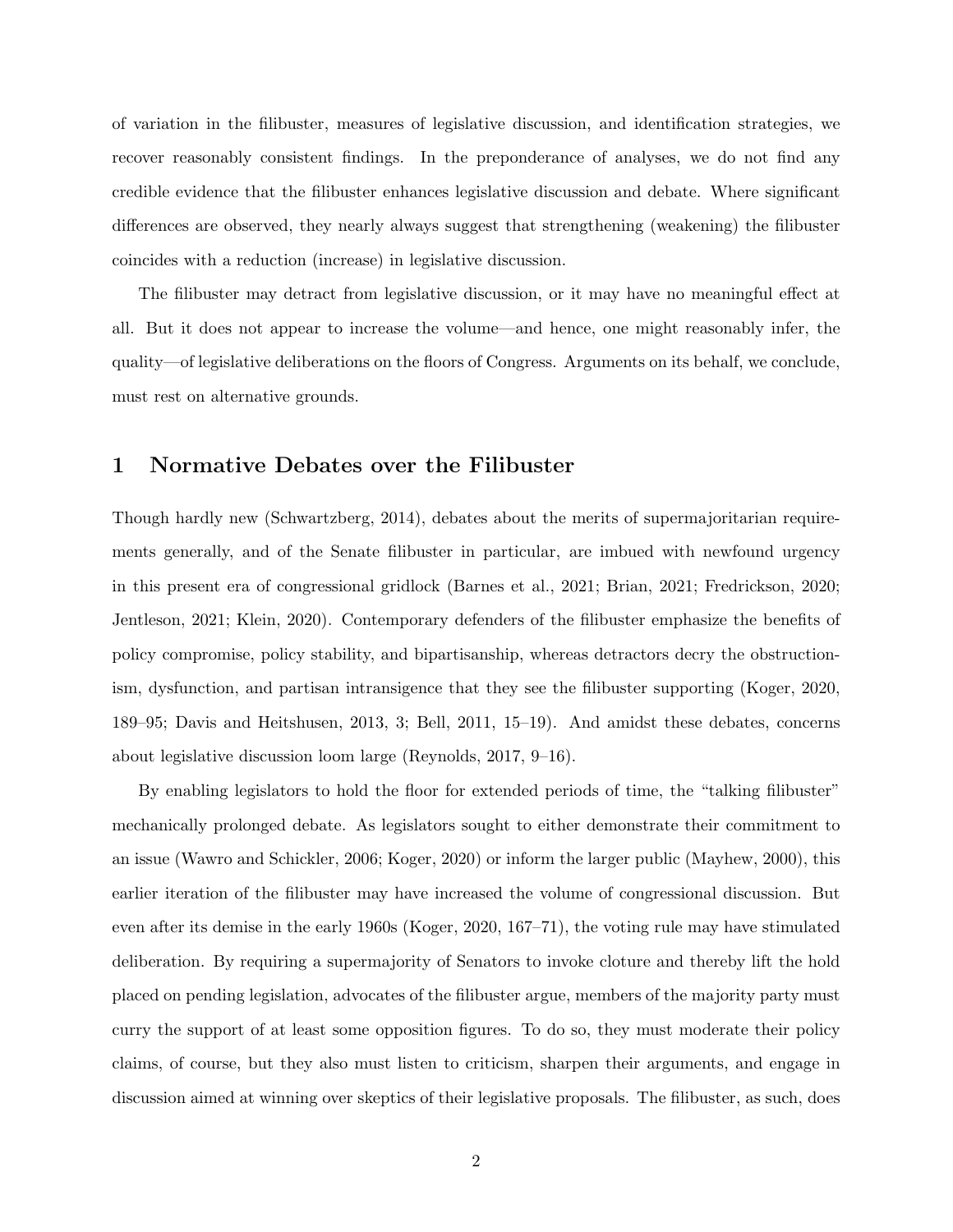of variation in the filibuster, measures of legislative discussion, and identification strategies, we recover reasonably consistent findings. In the preponderance of analyses, we do not find any credible evidence that the filibuster enhances legislative discussion and debate. Where significant differences are observed, they nearly always suggest that strengthening (weakening) the filibuster coincides with a reduction (increase) in legislative discussion.

The filibuster may detract from legislative discussion, or it may have no meaningful effect at all. But it does not appear to increase the volume—and hence, one might reasonably infer, the quality—of legislative deliberations on the floors of Congress. Arguments on its behalf, we conclude, must rest on alternative grounds.

## 1 Normative Debates over the Filibuster

Though hardly new (Schwartzberg, 2014), debates about the merits of supermajoritarian requirements generally, and of the Senate filibuster in particular, are imbued with newfound urgency in this present era of congressional gridlock (Barnes et al., 2021; Brian, 2021; Fredrickson, 2020; Jentleson, 2021; Klein, 2020). Contemporary defenders of the filibuster emphasize the benefits of policy compromise, policy stability, and bipartisanship, whereas detractors decry the obstructionism, dysfunction, and partisan intransigence that they see the filibuster supporting (Koger, 2020, 189–95; Davis and Heitshusen, 2013, 3; Bell, 2011, 15–19). And amidst these debates, concerns about legislative discussion loom large (Reynolds, 2017, 9–16).

By enabling legislators to hold the floor for extended periods of time, the "talking filibuster" mechanically prolonged debate. As legislators sought to either demonstrate their commitment to an issue (Wawro and Schickler, 2006; Koger, 2020) or inform the larger public (Mayhew, 2000), this earlier iteration of the filibuster may have increased the volume of congressional discussion. But even after its demise in the early 1960s (Koger, 2020, 167–71), the voting rule may have stimulated deliberation. By requiring a supermajority of Senators to invoke cloture and thereby lift the hold placed on pending legislation, advocates of the filibuster argue, members of the majority party must curry the support of at least some opposition figures. To do so, they must moderate their policy claims, of course, but they also must listen to criticism, sharpen their arguments, and engage in discussion aimed at winning over skeptics of their legislative proposals. The filibuster, as such, does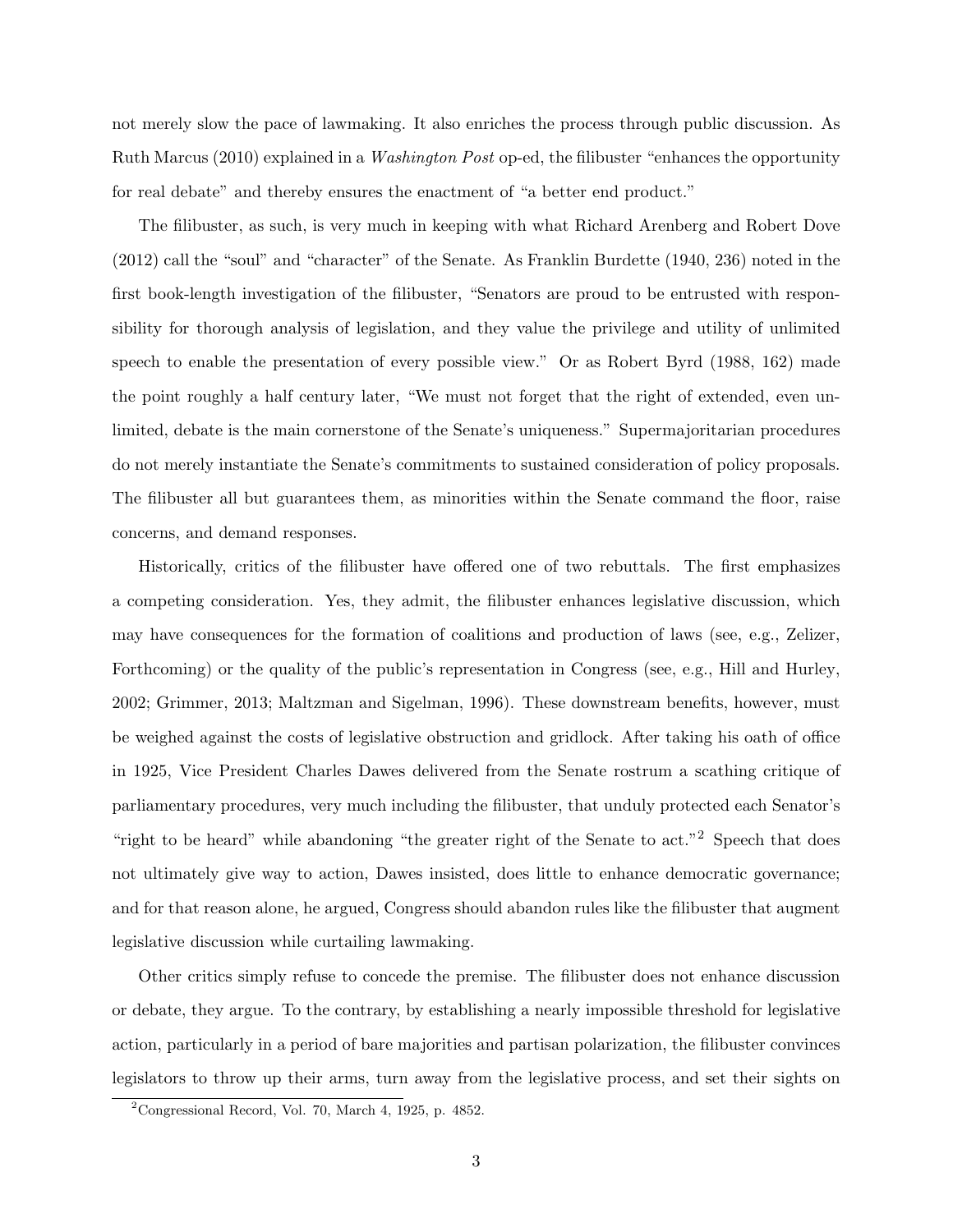not merely slow the pace of lawmaking. It also enriches the process through public discussion. As Ruth Marcus (2010) explained in a Washington Post op-ed, the filibuster "enhances the opportunity for real debate" and thereby ensures the enactment of "a better end product."

The filibuster, as such, is very much in keeping with what Richard Arenberg and Robert Dove (2012) call the "soul" and "character" of the Senate. As Franklin Burdette (1940, 236) noted in the first book-length investigation of the filibuster, "Senators are proud to be entrusted with responsibility for thorough analysis of legislation, and they value the privilege and utility of unlimited speech to enable the presentation of every possible view." Or as Robert Byrd (1988, 162) made the point roughly a half century later, "We must not forget that the right of extended, even unlimited, debate is the main cornerstone of the Senate's uniqueness." Supermajoritarian procedures do not merely instantiate the Senate's commitments to sustained consideration of policy proposals. The filibuster all but guarantees them, as minorities within the Senate command the floor, raise concerns, and demand responses.

Historically, critics of the filibuster have offered one of two rebuttals. The first emphasizes a competing consideration. Yes, they admit, the filibuster enhances legislative discussion, which may have consequences for the formation of coalitions and production of laws (see, e.g., Zelizer, Forthcoming) or the quality of the public's representation in Congress (see, e.g., Hill and Hurley, 2002; Grimmer, 2013; Maltzman and Sigelman, 1996). These downstream benefits, however, must be weighed against the costs of legislative obstruction and gridlock. After taking his oath of office in 1925, Vice President Charles Dawes delivered from the Senate rostrum a scathing critique of parliamentary procedures, very much including the filibuster, that unduly protected each Senator's "right to be heard" while abandoning "the greater right of the Senate to act."<sup>2</sup> Speech that does not ultimately give way to action, Dawes insisted, does little to enhance democratic governance; and for that reason alone, he argued, Congress should abandon rules like the filibuster that augment legislative discussion while curtailing lawmaking.

Other critics simply refuse to concede the premise. The filibuster does not enhance discussion or debate, they argue. To the contrary, by establishing a nearly impossible threshold for legislative action, particularly in a period of bare majorities and partisan polarization, the filibuster convinces legislators to throw up their arms, turn away from the legislative process, and set their sights on

 ${}^{2}$ Congressional Record, Vol. 70, March 4, 1925, p. 4852.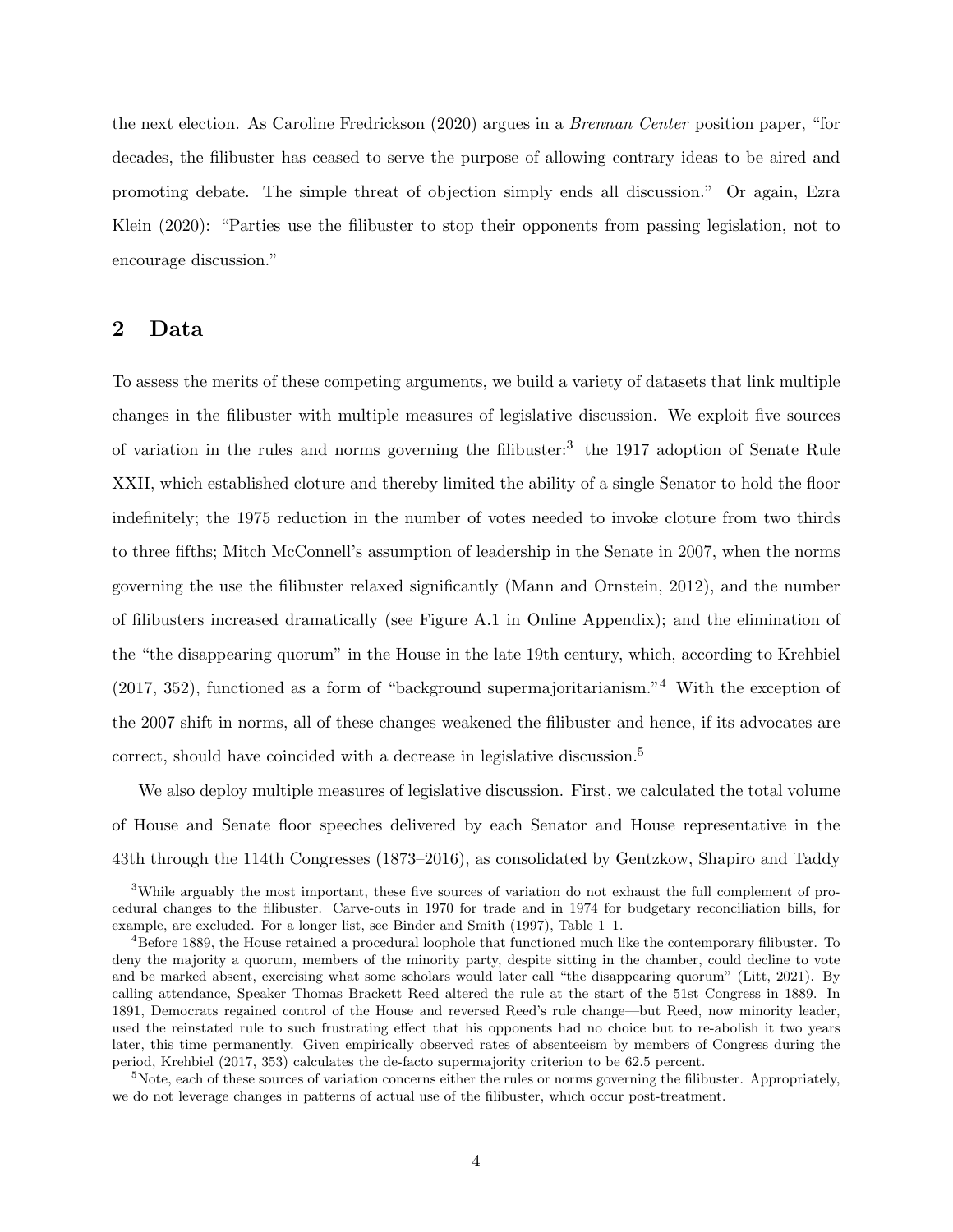the next election. As Caroline Fredrickson (2020) argues in a Brennan Center position paper, "for decades, the filibuster has ceased to serve the purpose of allowing contrary ideas to be aired and promoting debate. The simple threat of objection simply ends all discussion." Or again, Ezra Klein (2020): "Parties use the filibuster to stop their opponents from passing legislation, not to encourage discussion."

## 2 Data

To assess the merits of these competing arguments, we build a variety of datasets that link multiple changes in the filibuster with multiple measures of legislative discussion. We exploit five sources of variation in the rules and norms governing the filibuster:<sup>3</sup> the 1917 adoption of Senate Rule XXII, which established cloture and thereby limited the ability of a single Senator to hold the floor indefinitely; the 1975 reduction in the number of votes needed to invoke cloture from two thirds to three fifths; Mitch McConnell's assumption of leadership in the Senate in 2007, when the norms governing the use the filibuster relaxed significantly (Mann and Ornstein, 2012), and the number of filibusters increased dramatically (see Figure A.1 in Online Appendix); and the elimination of the "the disappearing quorum" in the House in the late 19th century, which, according to Krehbiel (2017, 352), functioned as a form of "background supermajoritarianism."<sup>4</sup> With the exception of the 2007 shift in norms, all of these changes weakened the filibuster and hence, if its advocates are correct, should have coincided with a decrease in legislative discussion.<sup>5</sup>

We also deploy multiple measures of legislative discussion. First, we calculated the total volume of House and Senate floor speeches delivered by each Senator and House representative in the 43th through the 114th Congresses (1873–2016), as consolidated by Gentzkow, Shapiro and Taddy

<sup>3</sup>While arguably the most important, these five sources of variation do not exhaust the full complement of procedural changes to the filibuster. Carve-outs in 1970 for trade and in 1974 for budgetary reconciliation bills, for example, are excluded. For a longer list, see Binder and Smith (1997), Table 1–1.

<sup>4</sup>Before 1889, the House retained a procedural loophole that functioned much like the contemporary filibuster. To deny the majority a quorum, members of the minority party, despite sitting in the chamber, could decline to vote and be marked absent, exercising what some scholars would later call "the disappearing quorum" (Litt, 2021). By calling attendance, Speaker Thomas Brackett Reed altered the rule at the start of the 51st Congress in 1889. In 1891, Democrats regained control of the House and reversed Reed's rule change—but Reed, now minority leader, used the reinstated rule to such frustrating effect that his opponents had no choice but to re-abolish it two years later, this time permanently. Given empirically observed rates of absenteeism by members of Congress during the period, Krehbiel (2017, 353) calculates the de-facto supermajority criterion to be 62.5 percent.

<sup>&</sup>lt;sup>5</sup>Note, each of these sources of variation concerns either the rules or norms governing the filibuster. Appropriately, we do not leverage changes in patterns of actual use of the filibuster, which occur post-treatment.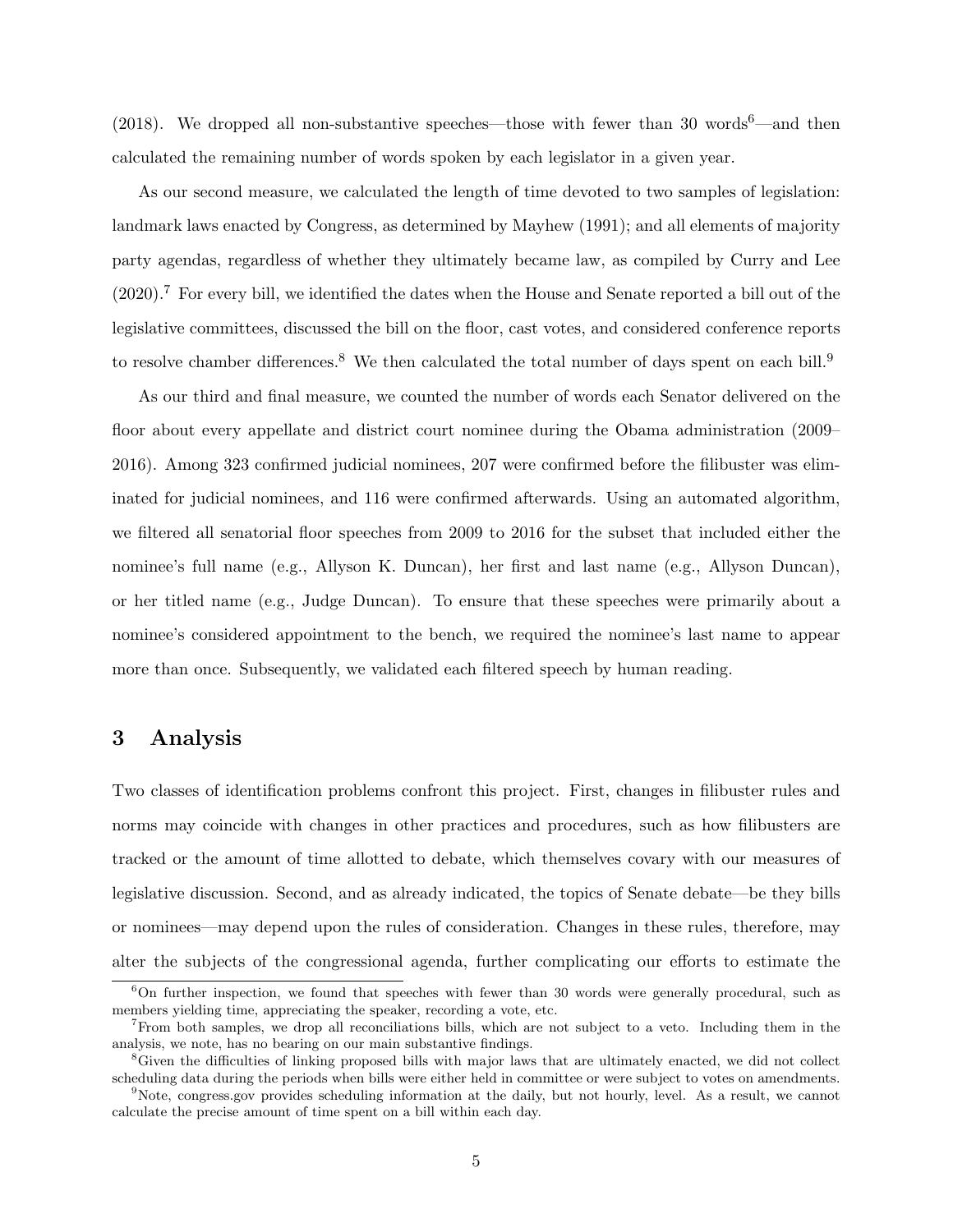(2018). We dropped all non-substantive speeches—those with fewer than 30 words<sup>6</sup>—and then calculated the remaining number of words spoken by each legislator in a given year.

As our second measure, we calculated the length of time devoted to two samples of legislation: landmark laws enacted by Congress, as determined by Mayhew (1991); and all elements of majority party agendas, regardless of whether they ultimately became law, as compiled by Curry and Lee (2020).<sup>7</sup> For every bill, we identified the dates when the House and Senate reported a bill out of the legislative committees, discussed the bill on the floor, cast votes, and considered conference reports to resolve chamber differences.<sup>8</sup> We then calculated the total number of days spent on each bill.<sup>9</sup>

As our third and final measure, we counted the number of words each Senator delivered on the floor about every appellate and district court nominee during the Obama administration (2009– 2016). Among 323 confirmed judicial nominees, 207 were confirmed before the filibuster was eliminated for judicial nominees, and 116 were confirmed afterwards. Using an automated algorithm, we filtered all senatorial floor speeches from 2009 to 2016 for the subset that included either the nominee's full name (e.g., Allyson K. Duncan), her first and last name (e.g., Allyson Duncan), or her titled name (e.g., Judge Duncan). To ensure that these speeches were primarily about a nominee's considered appointment to the bench, we required the nominee's last name to appear more than once. Subsequently, we validated each filtered speech by human reading.

## 3 Analysis

Two classes of identification problems confront this project. First, changes in filibuster rules and norms may coincide with changes in other practices and procedures, such as how filibusters are tracked or the amount of time allotted to debate, which themselves covary with our measures of legislative discussion. Second, and as already indicated, the topics of Senate debate—be they bills or nominees—may depend upon the rules of consideration. Changes in these rules, therefore, may alter the subjects of the congressional agenda, further complicating our efforts to estimate the

<sup>&</sup>lt;sup>6</sup>On further inspection, we found that speeches with fewer than 30 words were generally procedural, such as members yielding time, appreciating the speaker, recording a vote, etc.

<sup>7</sup>From both samples, we drop all reconciliations bills, which are not subject to a veto. Including them in the analysis, we note, has no bearing on our main substantive findings.

<sup>&</sup>lt;sup>8</sup>Given the difficulties of linking proposed bills with major laws that are ultimately enacted, we did not collect scheduling data during the periods when bills were either held in committee or were subject to votes on amendments.

<sup>9</sup>Note, congress.gov provides scheduling information at the daily, but not hourly, level. As a result, we cannot calculate the precise amount of time spent on a bill within each day.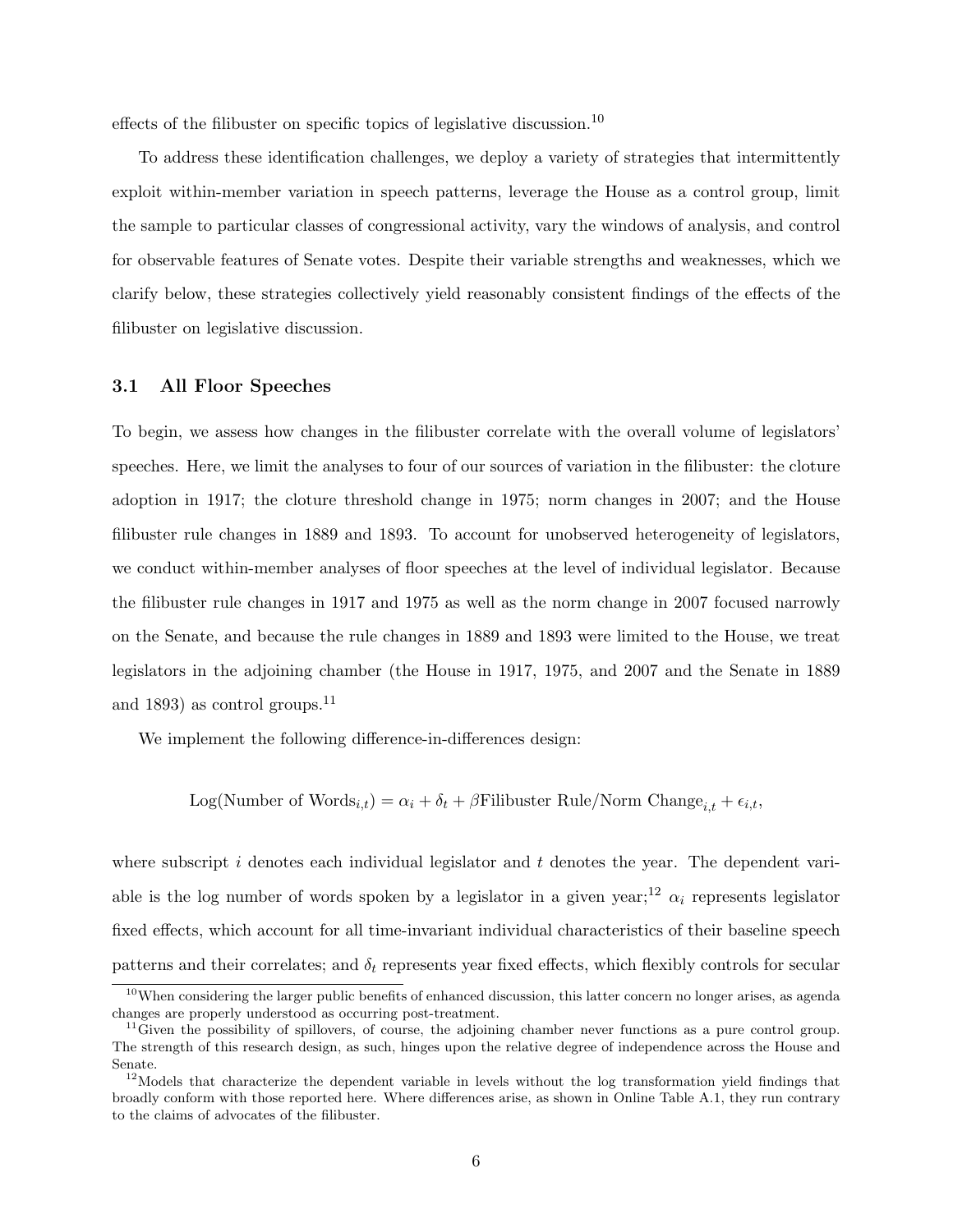effects of the filibuster on specific topics of legislative discussion.<sup>10</sup>

To address these identification challenges, we deploy a variety of strategies that intermittently exploit within-member variation in speech patterns, leverage the House as a control group, limit the sample to particular classes of congressional activity, vary the windows of analysis, and control for observable features of Senate votes. Despite their variable strengths and weaknesses, which we clarify below, these strategies collectively yield reasonably consistent findings of the effects of the filibuster on legislative discussion.

### 3.1 All Floor Speeches

To begin, we assess how changes in the filibuster correlate with the overall volume of legislators' speeches. Here, we limit the analyses to four of our sources of variation in the filibuster: the cloture adoption in 1917; the cloture threshold change in 1975; norm changes in 2007; and the House filibuster rule changes in 1889 and 1893. To account for unobserved heterogeneity of legislators, we conduct within-member analyses of floor speeches at the level of individual legislator. Because the filibuster rule changes in 1917 and 1975 as well as the norm change in 2007 focused narrowly on the Senate, and because the rule changes in 1889 and 1893 were limited to the House, we treat legislators in the adjoining chamber (the House in 1917, 1975, and 2007 and the Senate in 1889 and 1893) as control groups.<sup>11</sup>

We implement the following difference-in-differences design:

Log(Number of Words<sub>i,t</sub>) =  $\alpha_i + \delta_t + \beta$ Filibuster Rule/Norm Change<sub>i,t</sub> +  $\epsilon_{i,t}$ ,

where subscript i denotes each individual legislator and  $t$  denotes the year. The dependent variable is the log number of words spoken by a legislator in a given year;<sup>12</sup>  $\alpha_i$  represents legislator fixed effects, which account for all time-invariant individual characteristics of their baseline speech patterns and their correlates; and  $\delta_t$  represents year fixed effects, which flexibly controls for secular

<sup>&</sup>lt;sup>10</sup>When considering the larger public benefits of enhanced discussion, this latter concern no longer arises, as agenda changes are properly understood as occurring post-treatment.

 $11$  Given the possibility of spillovers, of course, the adjoining chamber never functions as a pure control group. The strength of this research design, as such, hinges upon the relative degree of independence across the House and Senate.

 $12$ Models that characterize the dependent variable in levels without the log transformation yield findings that broadly conform with those reported here. Where differences arise, as shown in Online Table A.1, they run contrary to the claims of advocates of the filibuster.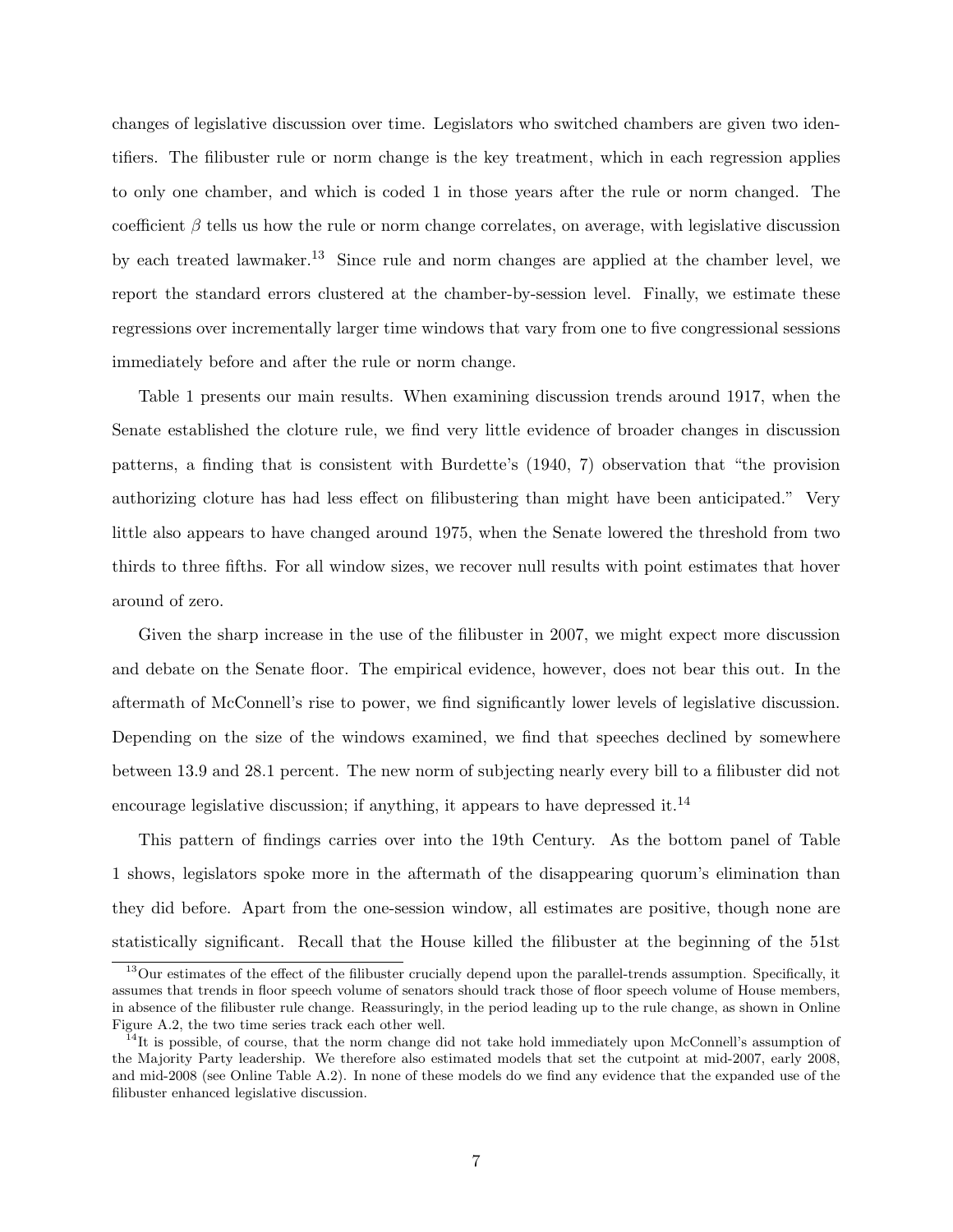changes of legislative discussion over time. Legislators who switched chambers are given two identifiers. The filibuster rule or norm change is the key treatment, which in each regression applies to only one chamber, and which is coded 1 in those years after the rule or norm changed. The coefficient  $\beta$  tells us how the rule or norm change correlates, on average, with legislative discussion by each treated lawmaker.<sup>13</sup> Since rule and norm changes are applied at the chamber level, we report the standard errors clustered at the chamber-by-session level. Finally, we estimate these regressions over incrementally larger time windows that vary from one to five congressional sessions immediately before and after the rule or norm change.

Table 1 presents our main results. When examining discussion trends around 1917, when the Senate established the cloture rule, we find very little evidence of broader changes in discussion patterns, a finding that is consistent with Burdette's (1940, 7) observation that "the provision authorizing cloture has had less effect on filibustering than might have been anticipated." Very little also appears to have changed around 1975, when the Senate lowered the threshold from two thirds to three fifths. For all window sizes, we recover null results with point estimates that hover around of zero.

Given the sharp increase in the use of the filibuster in 2007, we might expect more discussion and debate on the Senate floor. The empirical evidence, however, does not bear this out. In the aftermath of McConnell's rise to power, we find significantly lower levels of legislative discussion. Depending on the size of the windows examined, we find that speeches declined by somewhere between 13.9 and 28.1 percent. The new norm of subjecting nearly every bill to a filibuster did not encourage legislative discussion; if anything, it appears to have depressed it.<sup>14</sup>

This pattern of findings carries over into the 19th Century. As the bottom panel of Table 1 shows, legislators spoke more in the aftermath of the disappearing quorum's elimination than they did before. Apart from the one-session window, all estimates are positive, though none are statistically significant. Recall that the House killed the filibuster at the beginning of the 51st

<sup>&</sup>lt;sup>13</sup>Our estimates of the effect of the filibuster crucially depend upon the parallel-trends assumption. Specifically, it assumes that trends in floor speech volume of senators should track those of floor speech volume of House members, in absence of the filibuster rule change. Reassuringly, in the period leading up to the rule change, as shown in Online Figure A.2, the two time series track each other well.

<sup>&</sup>lt;sup>14</sup>It is possible, of course, that the norm change did not take hold immediately upon McConnell's assumption of the Majority Party leadership. We therefore also estimated models that set the cutpoint at mid-2007, early 2008, and mid-2008 (see Online Table A.2). In none of these models do we find any evidence that the expanded use of the filibuster enhanced legislative discussion.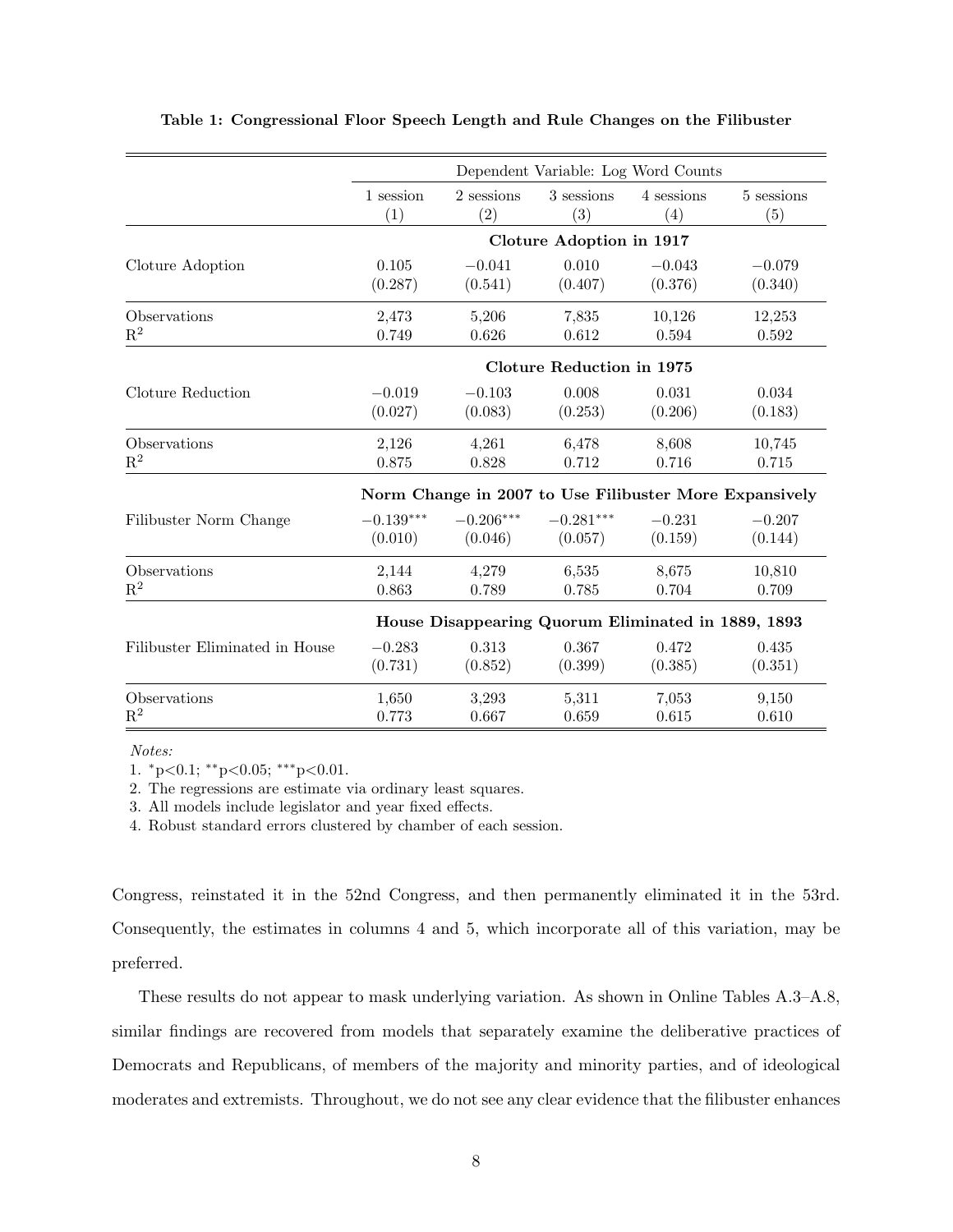|                                |             |             |                                  | Dependent Variable: Log Word Counts                    |            |
|--------------------------------|-------------|-------------|----------------------------------|--------------------------------------------------------|------------|
|                                | 1 session   | 2 sessions  | 3 sessions                       | 4 sessions                                             | 5 sessions |
|                                | (1)         | (2)         | (3)                              | (4)                                                    | (5)        |
|                                |             |             | Cloture Adoption in 1917         |                                                        |            |
| Cloture Adoption               | 0.105       | $-0.041$    | 0.010                            | $-0.043$                                               | $-0.079$   |
|                                | (0.287)     | (0.541)     | (0.407)                          | (0.376)                                                | (0.340)    |
| Observations                   | 2,473       | 5,206       | 7,835                            | 10,126                                                 | 12,253     |
| $\mathbf{R}^2$                 | 0.749       | 0.626       | 0.612                            | 0.594                                                  | 0.592      |
|                                |             |             | <b>Cloture Reduction in 1975</b> |                                                        |            |
| Cloture Reduction              | $-0.019$    | $-0.103$    | 0.008                            | 0.031                                                  | 0.034      |
|                                | (0.027)     | (0.083)     | (0.253)                          | (0.206)                                                | (0.183)    |
| Observations                   | 2,126       | 4,261       | 6,478                            | 8,608                                                  | 10,745     |
| $\mathbf{R}^2$                 | 0.875       | 0.828       | 0.712                            | 0.716                                                  | 0.715      |
|                                |             |             |                                  | Norm Change in 2007 to Use Filibuster More Expansively |            |
| Filibuster Norm Change         | $-0.139***$ | $-0.206***$ | $-0.281***$                      | $-0.231$                                               | $-0.207$   |
|                                | (0.010)     | (0.046)     | (0.057)                          | (0.159)                                                | (0.144)    |
| Observations                   | 2,144       | 4,279       | 6,535                            | 8,675                                                  | 10,810     |
| $R^2$                          | 0.863       | 0.789       | 0.785                            | 0.704                                                  | 0.709      |
|                                |             |             |                                  | House Disappearing Quorum Eliminated in 1889, 1893     |            |
| Filibuster Eliminated in House | $-0.283$    | 0.313       | 0.367                            | 0.472                                                  | 0.435      |
|                                | (0.731)     | (0.852)     | (0.399)                          | (0.385)                                                | (0.351)    |
| Observations                   | 1,650       | 3,293       | 5,311                            | 7,053                                                  | 9,150      |
| $\mathbf{R}^2$                 | 0.773       | 0.667       | 0.659                            | 0.615                                                  | 0.610      |

### Table 1: Congressional Floor Speech Length and Rule Changes on the Filibuster

Notes:

1. <sup>∗</sup>p<0.1; ∗∗p<0.05; ∗∗∗p<0.01.

2. The regressions are estimate via ordinary least squares.

3. All models include legislator and year fixed effects.

4. Robust standard errors clustered by chamber of each session.

Congress, reinstated it in the 52nd Congress, and then permanently eliminated it in the 53rd. Consequently, the estimates in columns 4 and 5, which incorporate all of this variation, may be preferred.

These results do not appear to mask underlying variation. As shown in Online Tables A.3–A.8, similar findings are recovered from models that separately examine the deliberative practices of Democrats and Republicans, of members of the majority and minority parties, and of ideological moderates and extremists. Throughout, we do not see any clear evidence that the filibuster enhances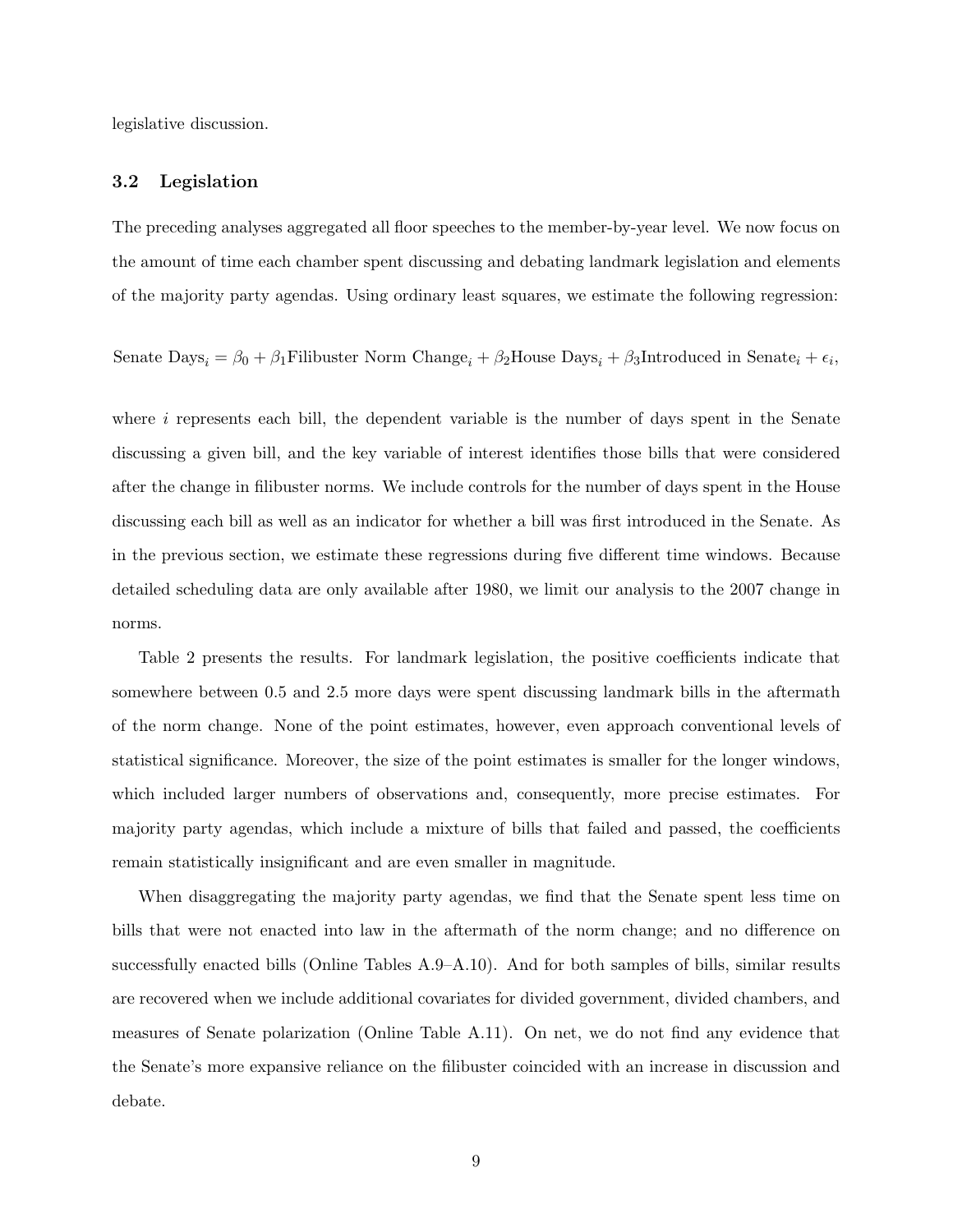legislative discussion.

### 3.2 Legislation

The preceding analyses aggregated all floor speeches to the member-by-year level. We now focus on the amount of time each chamber spent discussing and debating landmark legislation and elements of the majority party agendas. Using ordinary least squares, we estimate the following regression:

Senate  $\text{Days}_i = \beta_0 + \beta_1 \text{Filibuster}$  Norm Change<sub>i</sub> +  $\beta_2 \text{House Days}_i + \beta_3 \text{Introductioned}$  in Senate<sub>i</sub> +  $\epsilon_i$ ,

where  $i$  represents each bill, the dependent variable is the number of days spent in the Senate discussing a given bill, and the key variable of interest identifies those bills that were considered after the change in filibuster norms. We include controls for the number of days spent in the House discussing each bill as well as an indicator for whether a bill was first introduced in the Senate. As in the previous section, we estimate these regressions during five different time windows. Because detailed scheduling data are only available after 1980, we limit our analysis to the 2007 change in norms.

Table 2 presents the results. For landmark legislation, the positive coefficients indicate that somewhere between 0.5 and 2.5 more days were spent discussing landmark bills in the aftermath of the norm change. None of the point estimates, however, even approach conventional levels of statistical significance. Moreover, the size of the point estimates is smaller for the longer windows, which included larger numbers of observations and, consequently, more precise estimates. For majority party agendas, which include a mixture of bills that failed and passed, the coefficients remain statistically insignificant and are even smaller in magnitude.

When disaggregating the majority party agendas, we find that the Senate spent less time on bills that were not enacted into law in the aftermath of the norm change; and no difference on successfully enacted bills (Online Tables A.9–A.10). And for both samples of bills, similar results are recovered when we include additional covariates for divided government, divided chambers, and measures of Senate polarization (Online Table A.11). On net, we do not find any evidence that the Senate's more expansive reliance on the filibuster coincided with an increase in discussion and debate.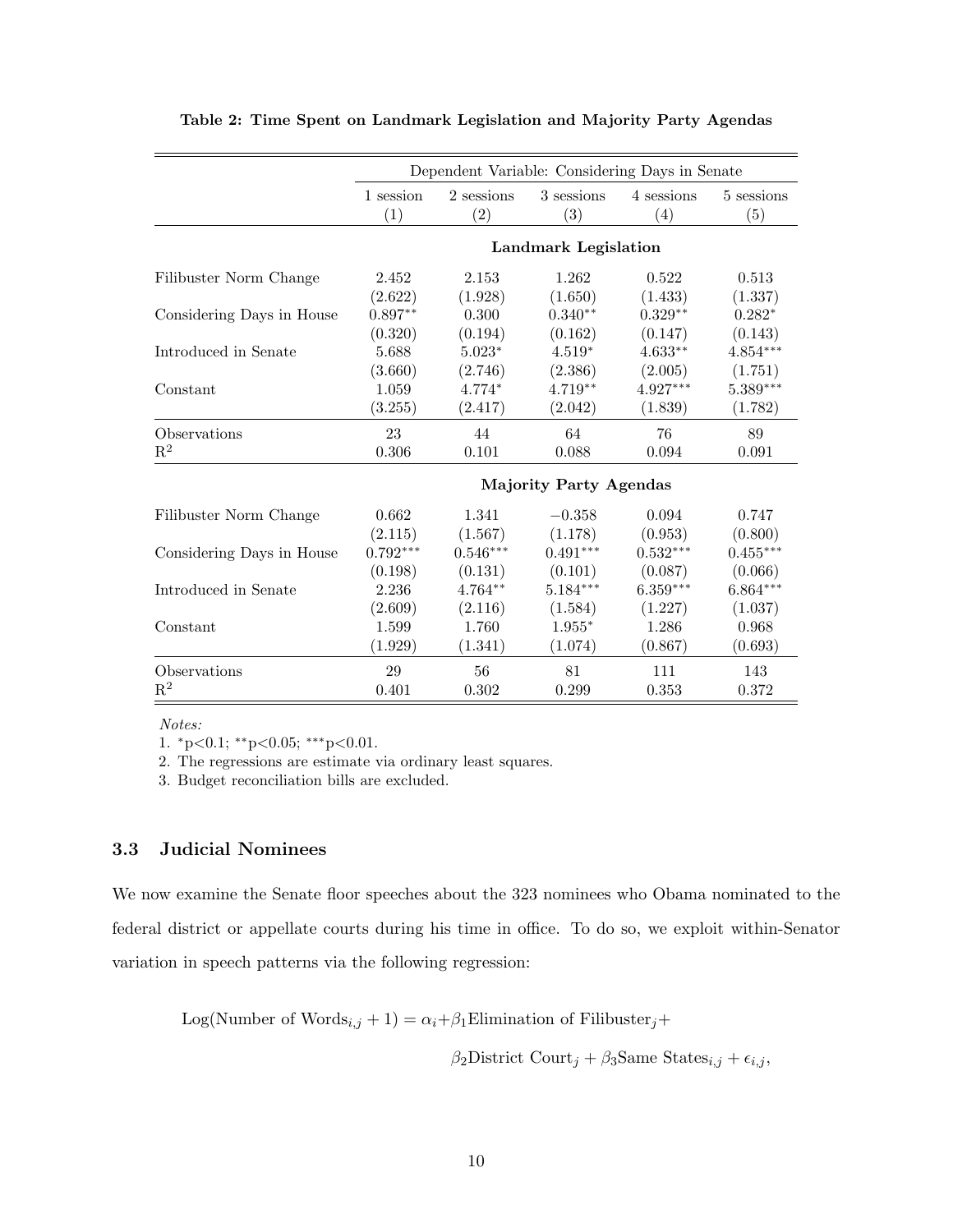|                           |                  | Dependent Variable: Considering Days in Senate |                               |                        |                   |
|---------------------------|------------------|------------------------------------------------|-------------------------------|------------------------|-------------------|
|                           | 1 session<br>(1) | 2 sessions<br>(2)                              | 3 sessions<br>(3)             | 4 sessions<br>(4)      | 5 sessions<br>(5) |
|                           |                  |                                                | <b>Landmark Legislation</b>   |                        |                   |
| Filibuster Norm Change    | 2.452            | 2.153                                          | 1.262                         | 0.522                  | 0.513             |
|                           | (2.622)          | (1.928)                                        | (1.650)                       | (1.433)                | (1.337)           |
| Considering Days in House | $0.897**$        | 0.300                                          | $0.340**$                     | $0.329**$              | $0.282*$          |
|                           | (0.320)          | (0.194)                                        | (0.162)                       | (0.147)                | (0.143)           |
| Introduced in Senate      | 5.688            | $5.023^{\ast}$                                 | $4.519*$                      | $4.633**$              | $4.854***$        |
|                           | (3.660)          | (2.746)                                        | (2.386)                       | (2.005)                | (1.751)           |
| Constant                  | 1.059            | $4.774*$                                       | 4.719**                       | 4.927***               | 5.389***          |
|                           | (3.255)          | (2.417)                                        | (2.042)                       | (1.839)                | (1.782)           |
| Observations              | 23               | 44                                             | 64                            | 76                     | 89                |
| $\mathbf{R}^2$            | 0.306            | 0.101                                          | 0.088                         | 0.094                  | 0.091             |
|                           |                  |                                                | <b>Majority Party Agendas</b> |                        |                   |
| Filibuster Norm Change    | $0.662\,$        | 1.341                                          | $-0.358$                      | 0.094                  | 0.747             |
|                           | (2.115)          | (1.567)                                        | (1.178)                       | (0.953)                | (0.800)           |
| Considering Days in House | $0.792***$       | $0.546***$                                     | $0.491^{\ast\ast\ast}$        | $0.532^{\ast\ast\ast}$ | $0.455***$        |
|                           | (0.198)          | (0.131)                                        | (0.101)                       | (0.087)                | (0.066)           |
| Introduced in Senate      | 2.236            | $4.764**$                                      | $5.184***$                    | $6.359***$             | $6.864***$        |
|                           | (2.609)          | (2.116)                                        | (1.584)                       | (1.227)                | (1.037)           |
| Constant                  | 1.599            | 1.760                                          | $1.955*$                      | 1.286                  | 0.968             |
|                           | (1.929)          | (1.341)                                        | (1.074)                       | (0.867)                | (0.693)           |
| Observations              | 29               | 56                                             | 81                            | 111                    | 143               |
| $\mathbf{R}^2$            | 0.401            | 0.302                                          | 0.299                         | 0.353                  | 0.372             |

|  | Table 2: Time Spent on Landmark Legislation and Majority Party Agendas |  |  |  |
|--|------------------------------------------------------------------------|--|--|--|
|--|------------------------------------------------------------------------|--|--|--|

Notes:

1. <sup>∗</sup>p<0.1; ∗∗p<0.05; ∗∗∗p<0.01.

2. The regressions are estimate via ordinary least squares.

3. Budget reconciliation bills are excluded.

### 3.3 Judicial Nominees

We now examine the Senate floor speeches about the 323 nominees who Obama nominated to the federal district or appellate courts during his time in office. To do so, we exploit within-Senator variation in speech patterns via the following regression:

Log(Number of Words<sub>i,j</sub> + 1) =  $\alpha_i + \beta_1$ Elimination of Filibuster<sub>j</sub> +

$$
\beta_2
$$
 District Court<sub>j</sub> +  $\beta_3$ Same States<sub>i,j</sub> +  $\epsilon_{i,j}$ ,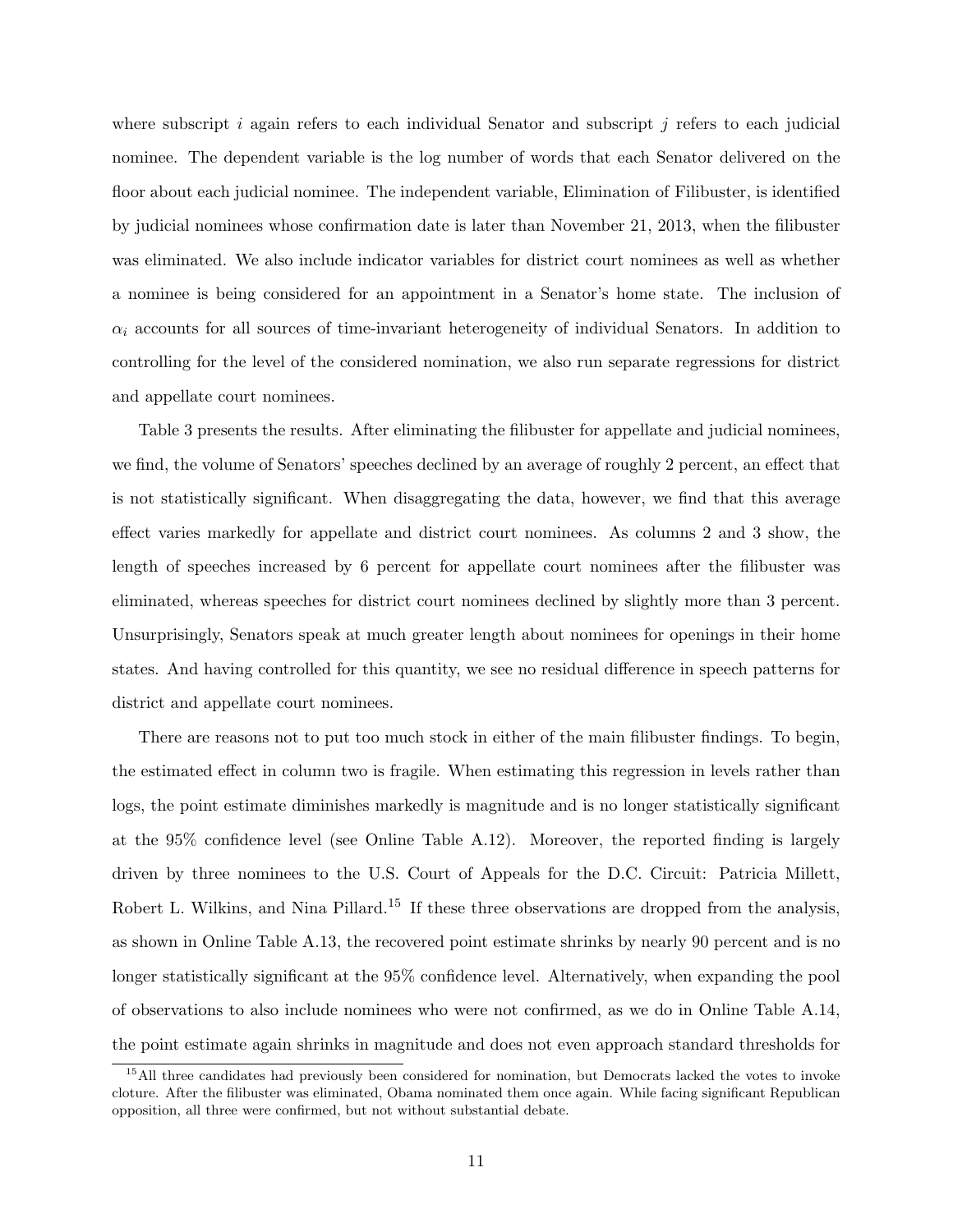where subscript i again refers to each individual Senator and subscript j refers to each judicial nominee. The dependent variable is the log number of words that each Senator delivered on the floor about each judicial nominee. The independent variable, Elimination of Filibuster, is identified by judicial nominees whose confirmation date is later than November 21, 2013, when the filibuster was eliminated. We also include indicator variables for district court nominees as well as whether a nominee is being considered for an appointment in a Senator's home state. The inclusion of  $\alpha_i$  accounts for all sources of time-invariant heterogeneity of individual Senators. In addition to controlling for the level of the considered nomination, we also run separate regressions for district and appellate court nominees.

Table 3 presents the results. After eliminating the filibuster for appellate and judicial nominees, we find, the volume of Senators' speeches declined by an average of roughly 2 percent, an effect that is not statistically significant. When disaggregating the data, however, we find that this average effect varies markedly for appellate and district court nominees. As columns 2 and 3 show, the length of speeches increased by 6 percent for appellate court nominees after the filibuster was eliminated, whereas speeches for district court nominees declined by slightly more than 3 percent. Unsurprisingly, Senators speak at much greater length about nominees for openings in their home states. And having controlled for this quantity, we see no residual difference in speech patterns for district and appellate court nominees.

There are reasons not to put too much stock in either of the main filibuster findings. To begin, the estimated effect in column two is fragile. When estimating this regression in levels rather than logs, the point estimate diminishes markedly is magnitude and is no longer statistically significant at the 95% confidence level (see Online Table A.12). Moreover, the reported finding is largely driven by three nominees to the U.S. Court of Appeals for the D.C. Circuit: Patricia Millett, Robert L. Wilkins, and Nina Pillard.<sup>15</sup> If these three observations are dropped from the analysis, as shown in Online Table A.13, the recovered point estimate shrinks by nearly 90 percent and is no longer statistically significant at the 95% confidence level. Alternatively, when expanding the pool of observations to also include nominees who were not confirmed, as we do in Online Table A.14, the point estimate again shrinks in magnitude and does not even approach standard thresholds for

<sup>&</sup>lt;sup>15</sup>All three candidates had previously been considered for nomination, but Democrats lacked the votes to invoke cloture. After the filibuster was eliminated, Obama nominated them once again. While facing significant Republican opposition, all three were confirmed, but not without substantial debate.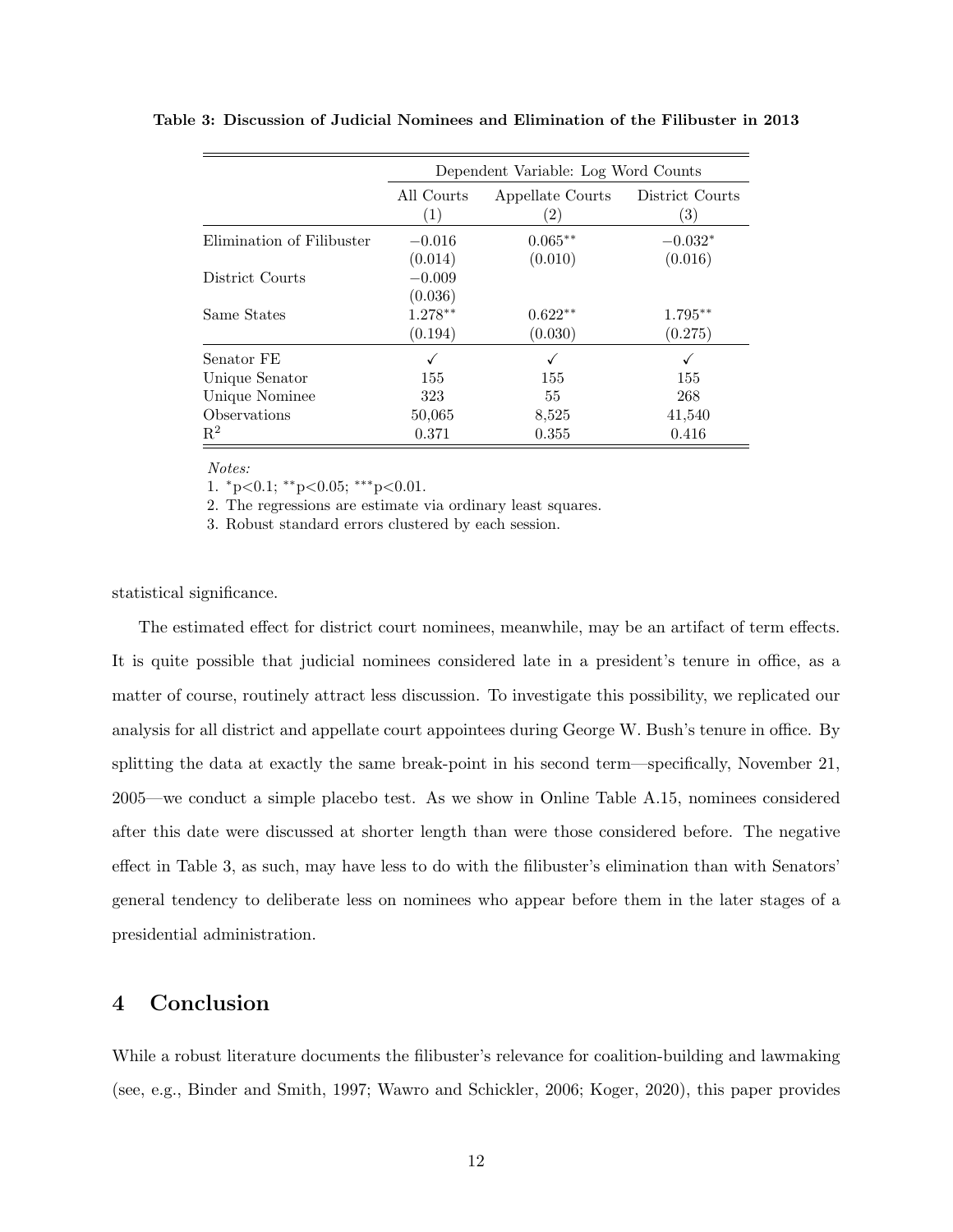|                            |                                 | Dependent Variable: Log Word Counts   |                        |  |  |  |  |  |
|----------------------------|---------------------------------|---------------------------------------|------------------------|--|--|--|--|--|
|                            | All Courts<br>(1)               | Appellate Courts<br>$\left( 2\right)$ | District Courts<br>(3) |  |  |  |  |  |
| Elimination of Filibuster  | $-0.016$<br>(0.014)             | $0.065**$<br>(0.010)                  | $-0.032*$<br>(0.016)   |  |  |  |  |  |
| District Courts            | $-0.009$                        |                                       |                        |  |  |  |  |  |
| Same States                | (0.036)<br>$1.278**$<br>(0.194) | $0.622**$<br>(0.030)                  | $1.795**$<br>(0.275)   |  |  |  |  |  |
| Senator FE                 |                                 |                                       |                        |  |  |  |  |  |
| Unique Senator             | 155                             | 155                                   | √<br>155               |  |  |  |  |  |
| Unique Nominee             | 323                             | 55                                    | 268                    |  |  |  |  |  |
| <i><b>Observations</b></i> | 50,065                          | 8,525                                 | 41,540                 |  |  |  |  |  |
| $\mathbf{R}^2$             | 0.371                           | 0.355                                 | 0.416                  |  |  |  |  |  |

Table 3: Discussion of Judicial Nominees and Elimination of the Filibuster in 2013

#### Notes:

1. <sup>∗</sup>p<0.1; ∗∗p<0.05; ∗∗∗p<0.01.

2. The regressions are estimate via ordinary least squares.

3. Robust standard errors clustered by each session.

statistical significance.

The estimated effect for district court nominees, meanwhile, may be an artifact of term effects. It is quite possible that judicial nominees considered late in a president's tenure in office, as a matter of course, routinely attract less discussion. To investigate this possibility, we replicated our analysis for all district and appellate court appointees during George W. Bush's tenure in office. By splitting the data at exactly the same break-point in his second term—specifically, November 21, 2005—we conduct a simple placebo test. As we show in Online Table A.15, nominees considered after this date were discussed at shorter length than were those considered before. The negative effect in Table 3, as such, may have less to do with the filibuster's elimination than with Senators' general tendency to deliberate less on nominees who appear before them in the later stages of a presidential administration.

## 4 Conclusion

While a robust literature documents the filibuster's relevance for coalition-building and lawmaking (see, e.g., Binder and Smith, 1997; Wawro and Schickler, 2006; Koger, 2020), this paper provides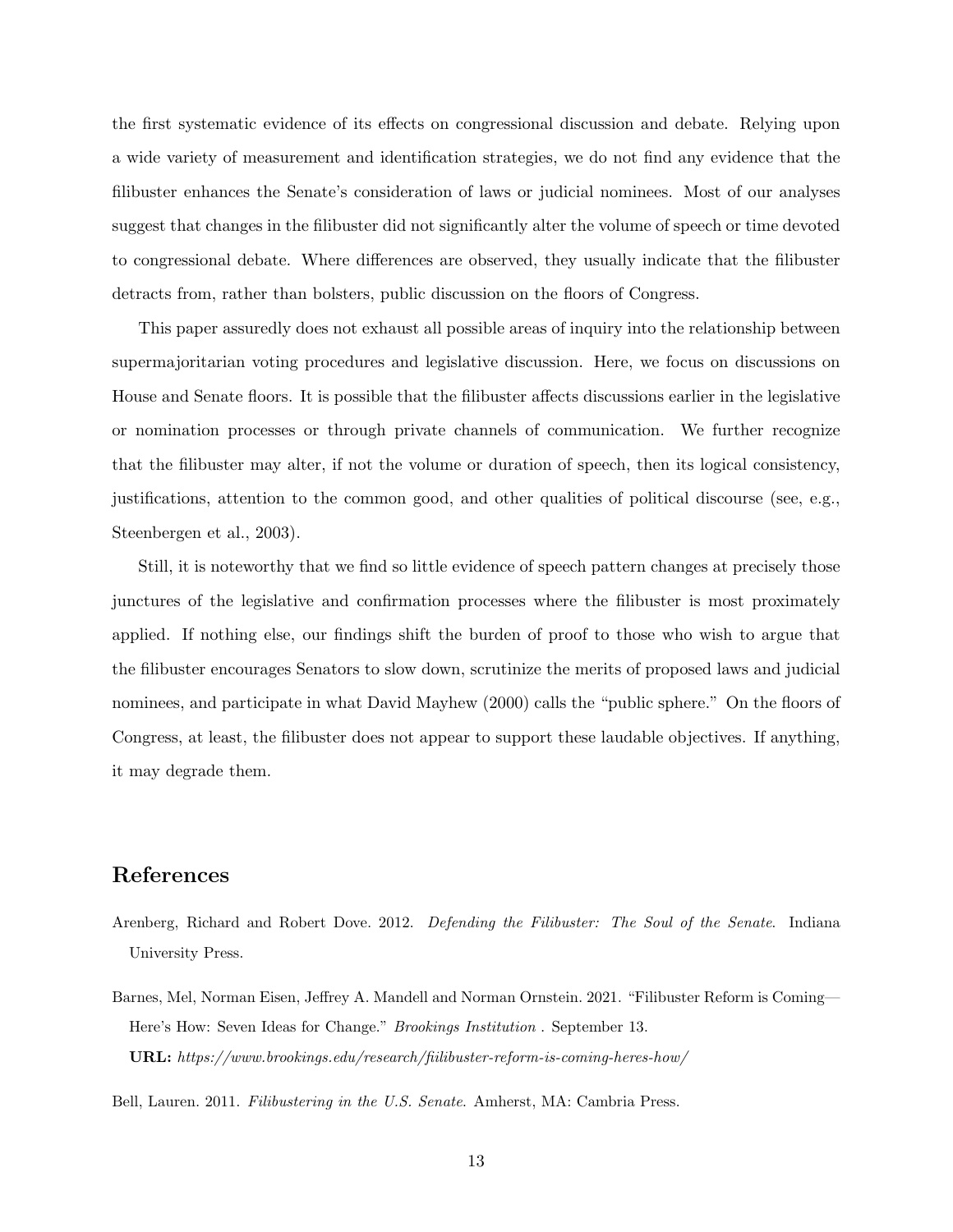the first systematic evidence of its effects on congressional discussion and debate. Relying upon a wide variety of measurement and identification strategies, we do not find any evidence that the filibuster enhances the Senate's consideration of laws or judicial nominees. Most of our analyses suggest that changes in the filibuster did not significantly alter the volume of speech or time devoted to congressional debate. Where differences are observed, they usually indicate that the filibuster detracts from, rather than bolsters, public discussion on the floors of Congress.

This paper assuredly does not exhaust all possible areas of inquiry into the relationship between supermajoritarian voting procedures and legislative discussion. Here, we focus on discussions on House and Senate floors. It is possible that the filibuster affects discussions earlier in the legislative or nomination processes or through private channels of communication. We further recognize that the filibuster may alter, if not the volume or duration of speech, then its logical consistency, justifications, attention to the common good, and other qualities of political discourse (see, e.g., Steenbergen et al., 2003).

Still, it is noteworthy that we find so little evidence of speech pattern changes at precisely those junctures of the legislative and confirmation processes where the filibuster is most proximately applied. If nothing else, our findings shift the burden of proof to those who wish to argue that the filibuster encourages Senators to slow down, scrutinize the merits of proposed laws and judicial nominees, and participate in what David Mayhew (2000) calls the "public sphere." On the floors of Congress, at least, the filibuster does not appear to support these laudable objectives. If anything, it may degrade them.

## References

- Arenberg, Richard and Robert Dove. 2012. Defending the Filibuster: The Soul of the Senate. Indiana University Press.
- Barnes, Mel, Norman Eisen, Jeffrey A. Mandell and Norman Ornstein. 2021. "Filibuster Reform is Coming— Here's How: Seven Ideas for Change." Brookings Institution . September 13.  $\textbf{URL: } \textit{https://www.brookings.edu/research/filibuster-reform-is-coming-heres-how/}$

Bell, Lauren. 2011. Filibustering in the U.S. Senate. Amherst, MA: Cambria Press.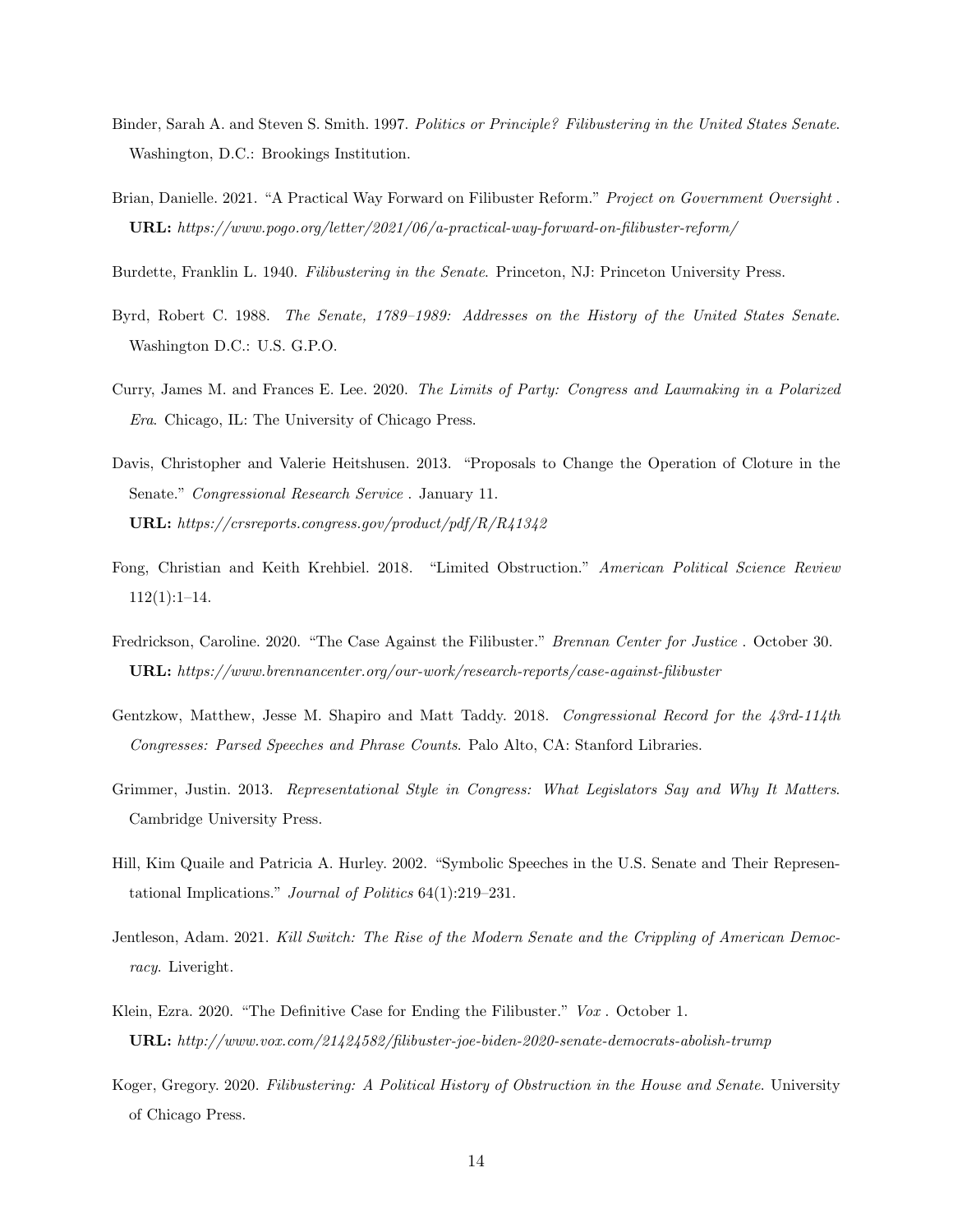- Binder, Sarah A. and Steven S. Smith. 1997. Politics or Principle? Filibustering in the United States Senate. Washington, D.C.: Brookings Institution.
- Brian, Danielle. 2021. "A Practical Way Forward on Filibuster Reform." Project on Government Oversight. URL: https://www.pogo.org/letter/2021/06/a-practical-way-forward-on-filibuster-reform/
- Burdette, Franklin L. 1940. Filibustering in the Senate. Princeton, NJ: Princeton University Press.
- Byrd, Robert C. 1988. The Senate, 1789–1989: Addresses on the History of the United States Senate. Washington D.C.: U.S. G.P.O.
- Curry, James M. and Frances E. Lee. 2020. The Limits of Party: Congress and Lawmaking in a Polarized Era. Chicago, IL: The University of Chicago Press.
- Davis, Christopher and Valerie Heitshusen. 2013. "Proposals to Change the Operation of Cloture in the Senate." Congressional Research Service . January 11. URL: https://crsreports.congress.gov/product/pdf/R/R41342
- Fong, Christian and Keith Krehbiel. 2018. "Limited Obstruction." American Political Science Review  $112(1):1-14.$
- Fredrickson, Caroline. 2020. "The Case Against the Filibuster." Brennan Center for Justice . October 30. URL: https://www.brennancenter.org/our-work/research-reports/case-against-filibuster
- Gentzkow, Matthew, Jesse M. Shapiro and Matt Taddy. 2018. Congressional Record for the 43rd-114th Congresses: Parsed Speeches and Phrase Counts. Palo Alto, CA: Stanford Libraries.
- Grimmer, Justin. 2013. Representational Style in Congress: What Legislators Say and Why It Matters. Cambridge University Press.
- Hill, Kim Quaile and Patricia A. Hurley. 2002. "Symbolic Speeches in the U.S. Senate and Their Representational Implications." Journal of Politics 64(1):219–231.
- Jentleson, Adam. 2021. Kill Switch: The Rise of the Modern Senate and the Crippling of American Democracy. Liveright.
- Klein, Ezra. 2020. "The Definitive Case for Ending the Filibuster." Vox. October 1. URL: http://www.vox.com/21424582/filibuster-joe-biden-2020-senate-democrats-abolish-trump
- Koger, Gregory. 2020. Filibustering: A Political History of Obstruction in the House and Senate. University of Chicago Press.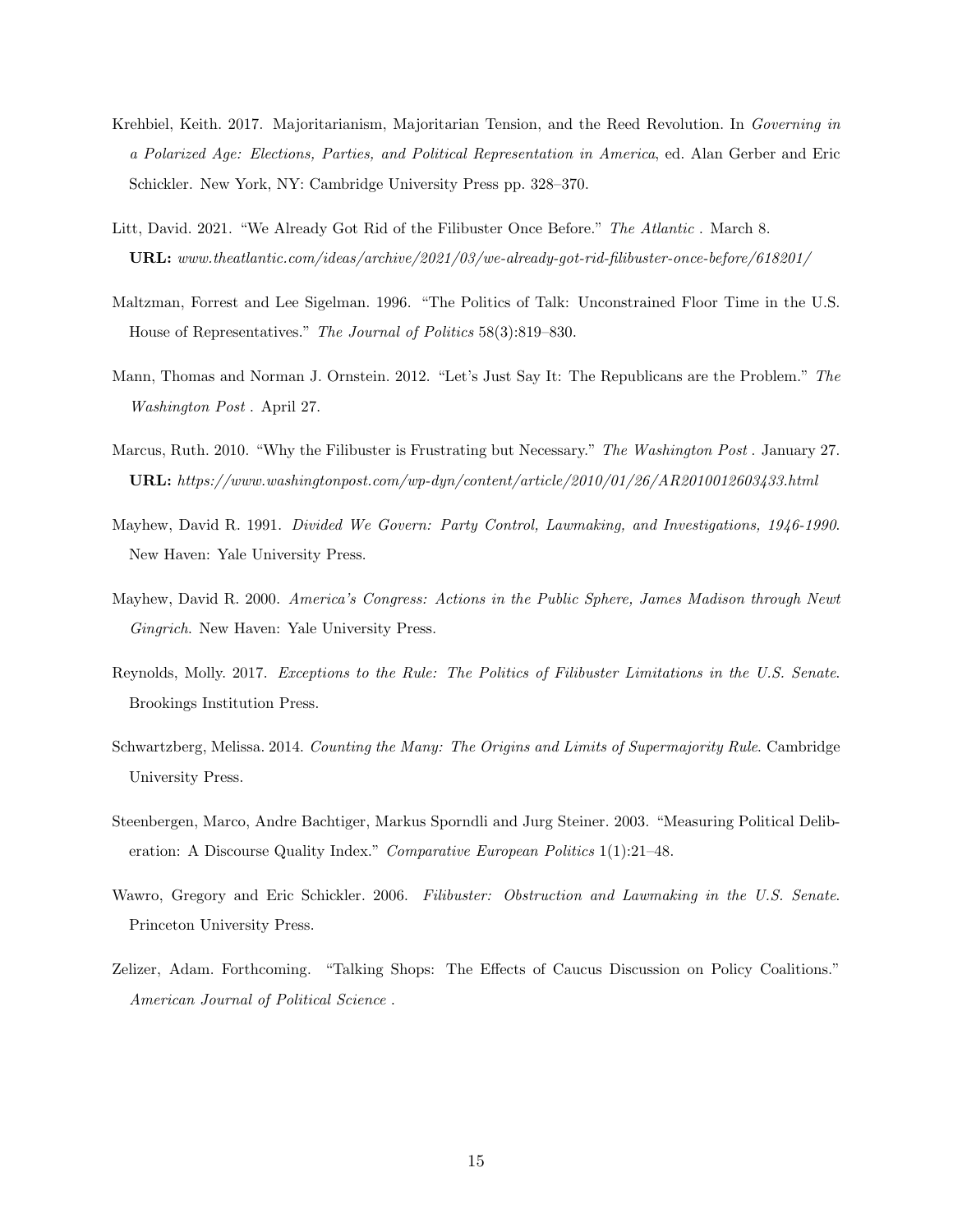- Krehbiel, Keith. 2017. Majoritarianism, Majoritarian Tension, and the Reed Revolution. In Governing in a Polarized Age: Elections, Parties, and Political Representation in America, ed. Alan Gerber and Eric Schickler. New York, NY: Cambridge University Press pp. 328–370.
- Litt, David. 2021. "We Already Got Rid of the Filibuster Once Before." The Atlantic. March 8. URL: www.theatlantic.com/ideas/archive/2021/03/we-already-got-rid-filibuster-once-before/618201/
- Maltzman, Forrest and Lee Sigelman. 1996. "The Politics of Talk: Unconstrained Floor Time in the U.S. House of Representatives." The Journal of Politics 58(3):819–830.
- Mann, Thomas and Norman J. Ornstein. 2012. "Let's Just Say It: The Republicans are the Problem." The Washington Post . April 27.
- Marcus, Ruth. 2010. "Why the Filibuster is Frustrating but Necessary." The Washington Post . January 27. URL: https://www.washingtonpost.com/wp-dyn/content/article/2010/01/26/AR2010012603433.html
- Mayhew, David R. 1991. Divided We Govern: Party Control, Lawmaking, and Investigations, 1946-1990. New Haven: Yale University Press.
- Mayhew, David R. 2000. America's Congress: Actions in the Public Sphere, James Madison through Newt Gingrich. New Haven: Yale University Press.
- Reynolds, Molly. 2017. Exceptions to the Rule: The Politics of Filibuster Limitations in the U.S. Senate. Brookings Institution Press.
- Schwartzberg, Melissa. 2014. Counting the Many: The Origins and Limits of Supermajority Rule. Cambridge University Press.
- Steenbergen, Marco, Andre Bachtiger, Markus Sporndli and Jurg Steiner. 2003. "Measuring Political Deliberation: A Discourse Quality Index." Comparative European Politics 1(1):21–48.
- Wawro, Gregory and Eric Schickler. 2006. Filibuster: Obstruction and Lawmaking in the U.S. Senate. Princeton University Press.
- Zelizer, Adam. Forthcoming. "Talking Shops: The Effects of Caucus Discussion on Policy Coalitions." American Journal of Political Science .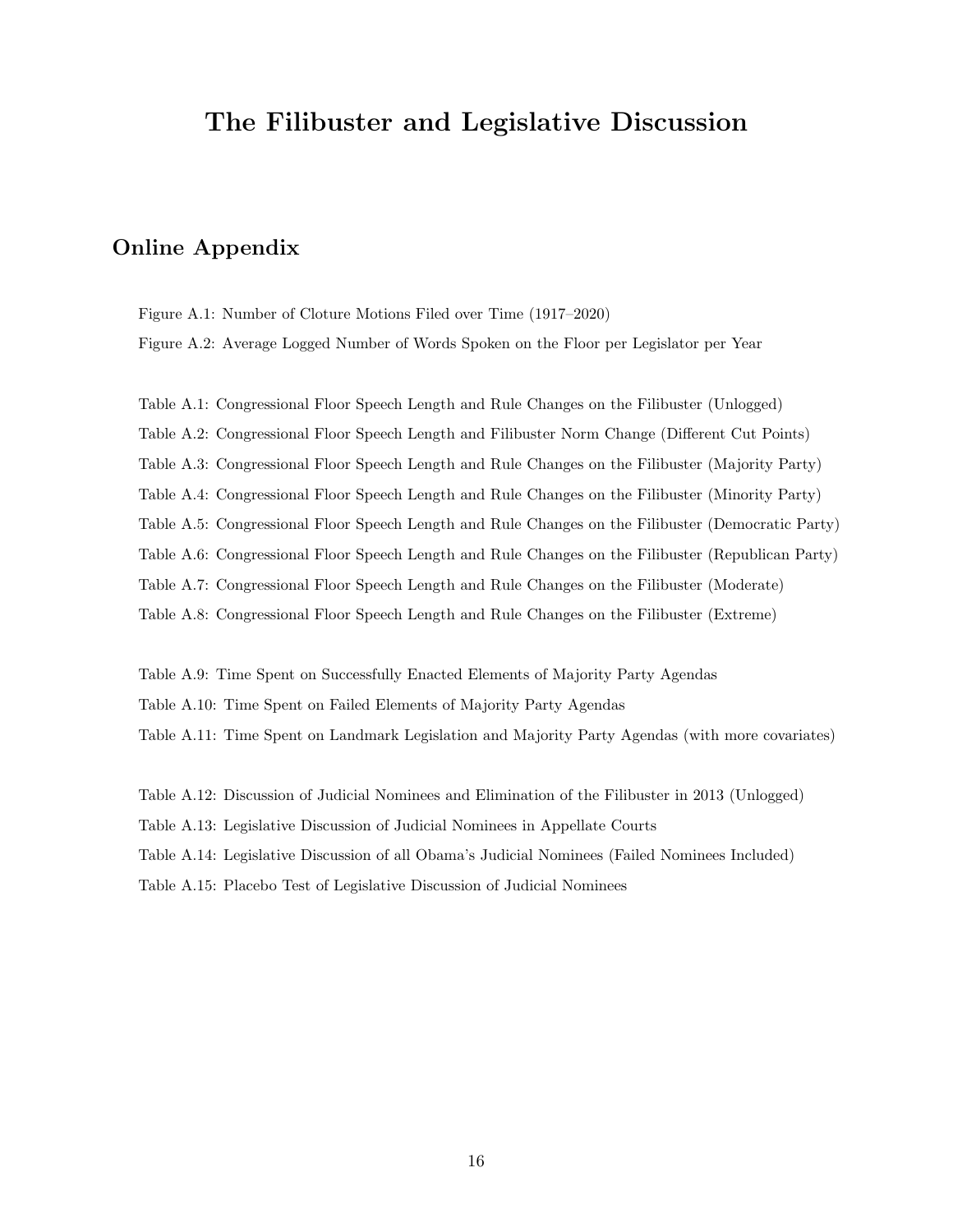# The Filibuster and Legislative Discussion

## Online Appendix

Figure A.1: Number of Cloture Motions Filed over Time (1917–2020) Figure A.2: Average Logged Number of Words Spoken on the Floor per Legislator per Year

Table A.1: Congressional Floor Speech Length and Rule Changes on the Filibuster (Unlogged) Table A.2: Congressional Floor Speech Length and Filibuster Norm Change (Different Cut Points) Table A.3: Congressional Floor Speech Length and Rule Changes on the Filibuster (Majority Party) Table A.4: Congressional Floor Speech Length and Rule Changes on the Filibuster (Minority Party) Table A.5: Congressional Floor Speech Length and Rule Changes on the Filibuster (Democratic Party) Table A.6: Congressional Floor Speech Length and Rule Changes on the Filibuster (Republican Party) Table A.7: Congressional Floor Speech Length and Rule Changes on the Filibuster (Moderate) Table A.8: Congressional Floor Speech Length and Rule Changes on the Filibuster (Extreme)

Table A.9: Time Spent on Successfully Enacted Elements of Majority Party Agendas Table A.10: Time Spent on Failed Elements of Majority Party Agendas Table A.11: Time Spent on Landmark Legislation and Majority Party Agendas (with more covariates)

Table A.12: Discussion of Judicial Nominees and Elimination of the Filibuster in 2013 (Unlogged)

Table A.13: Legislative Discussion of Judicial Nominees in Appellate Courts

Table A.14: Legislative Discussion of all Obama's Judicial Nominees (Failed Nominees Included)

Table A.15: Placebo Test of Legislative Discussion of Judicial Nominees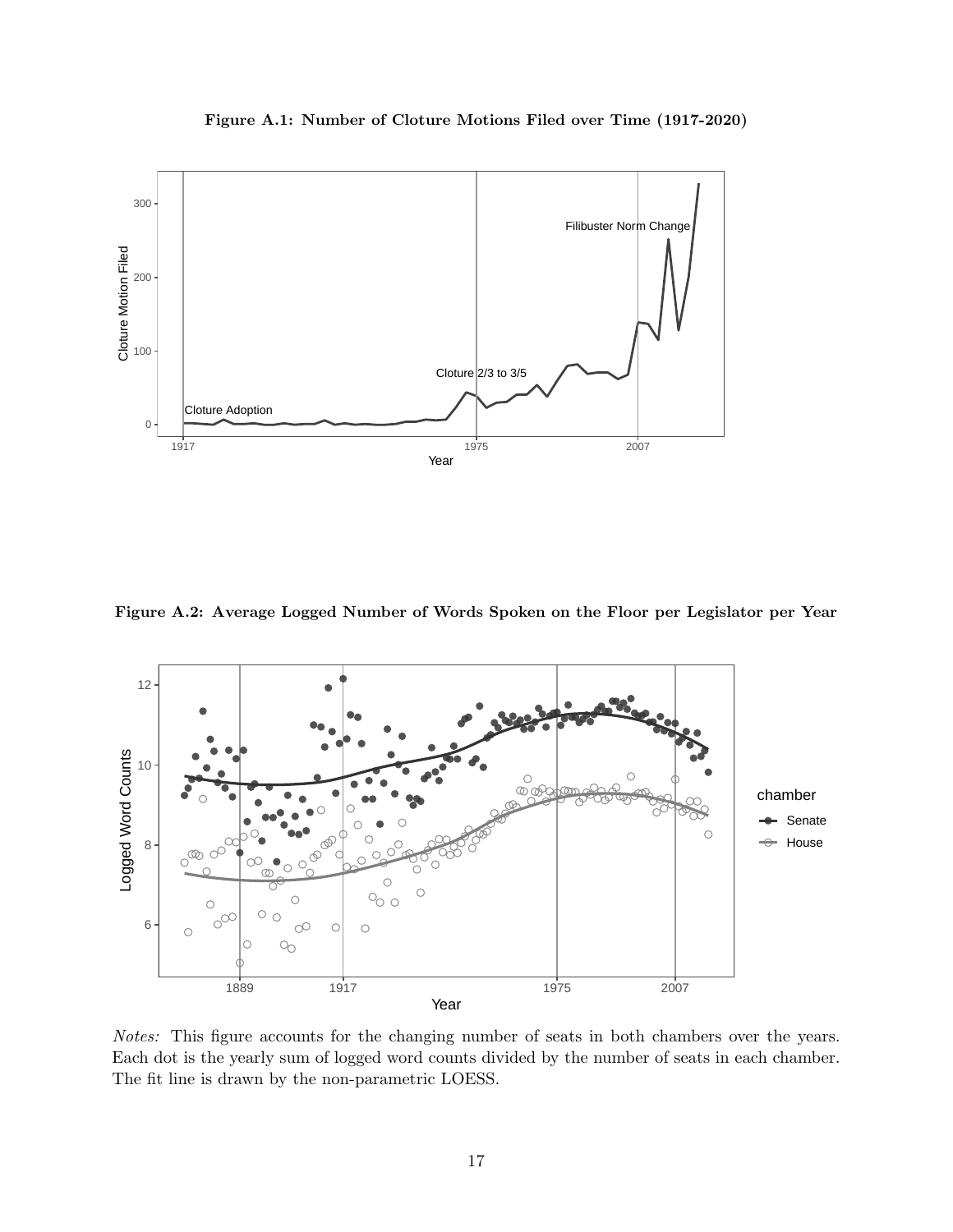

Figure A.1: Number of Cloture Motions Filed over Time (1917-2020)

Figure A.2: Average Logged Number of Words Spoken on the Floor per Legislator per Year



Notes: This figure accounts for the changing number of seats in both chambers over the years. Each dot is the yearly sum of logged word counts divided by the number of seats in each chamber. The fit line is drawn by the non-parametric LOESS.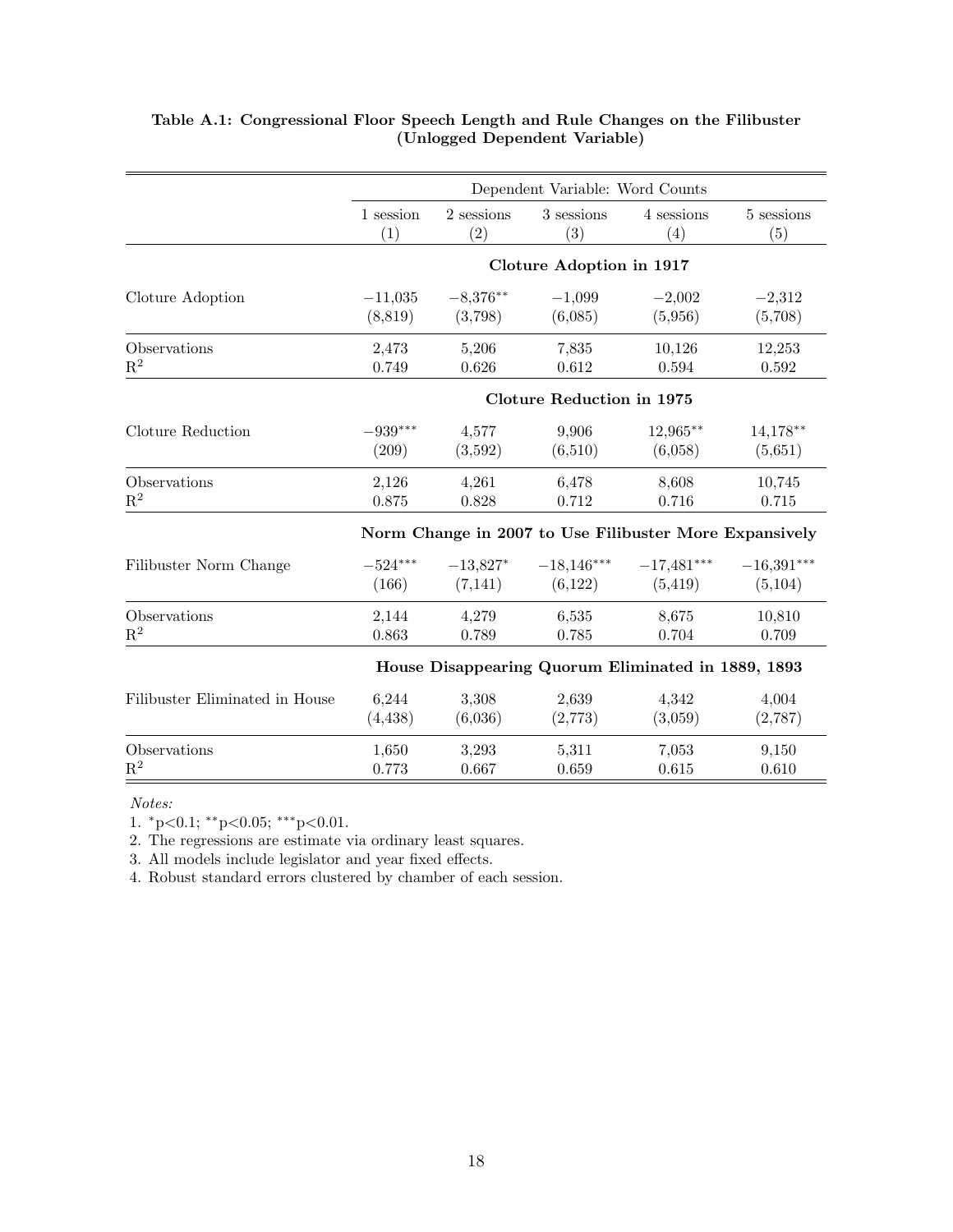|                                | Dependent Variable: Word Counts |                       |                                  |                                                        |                         |  |  |
|--------------------------------|---------------------------------|-----------------------|----------------------------------|--------------------------------------------------------|-------------------------|--|--|
|                                | 1 session                       | $2$ sessions $\,$     | 3 sessions                       | 4 sessions                                             | 5 sessions              |  |  |
|                                | (1)                             | (2)                   | (3)                              | (4)                                                    | (5)                     |  |  |
|                                |                                 |                       | Cloture Adoption in 1917         |                                                        |                         |  |  |
| Cloture Adoption               | $-11,035$                       | $-8,376**$            | $-1,099$                         | $-2,002$                                               | $-2,312$                |  |  |
|                                | (8, 819)                        | (3,798)               | (6,085)                          | (5,956)                                                | (5,708)                 |  |  |
| Observations                   | 2,473                           | 5,206                 | 7,835                            | 10,126                                                 | 12,253                  |  |  |
| $\mathbf{R}^2$                 | 0.749                           | 0.626                 | 0.612                            | 0.594                                                  | $\,0.592\,$             |  |  |
|                                |                                 |                       | <b>Cloture Reduction in 1975</b> |                                                        |                         |  |  |
| Cloture Reduction              | $-939***$                       | 4,577                 | 9,906                            | $12,965***$                                            | $14,178**$              |  |  |
|                                | (209)                           | (3,592)               | (6,510)                          | (6,058)                                                | (5,651)                 |  |  |
| Observations                   | 2,126                           | 4,261                 | 6,478                            | 8,608                                                  | 10,745                  |  |  |
| $\mathbf{R}^2$                 | 0.875                           | 0.828                 | 0.712                            | 0.716                                                  | 0.715                   |  |  |
|                                |                                 |                       |                                  | Norm Change in 2007 to Use Filibuster More Expansively |                         |  |  |
| Filibuster Norm Change         | $-524***$<br>(166)              | $-13,827*$<br>(7,141) | (6,122)                          | $-18,146***$ $-17,481***$<br>(5, 419)                  | $-16,391***$<br>(5,104) |  |  |
| Observations                   | 2,144                           | 4,279                 | 6,535                            | 8,675                                                  | 10,810                  |  |  |
| $R^2$                          | 0.863                           | 0.789                 | 0.785                            | 0.704                                                  | 0.709                   |  |  |
|                                |                                 |                       |                                  | House Disappearing Quorum Eliminated in 1889, 1893     |                         |  |  |
| Filibuster Eliminated in House | 6,244                           | 3,308                 | 2,639                            | 4,342                                                  | 4,004                   |  |  |
|                                | (4, 438)                        | (6,036)               | (2,773)                          | (3,059)                                                | (2,787)                 |  |  |
| Observations                   | 1,650                           | 3,293                 | 5,311                            | 7,053                                                  | 9,150                   |  |  |
| $\mathbf{R}^2$                 | 0.773                           | 0.667                 | 0.659                            | 0.615                                                  | 0.610                   |  |  |

### Table A.1: Congressional Floor Speech Length and Rule Changes on the Filibuster (Unlogged Dependent Variable)

Notes:

1.  ${}^*p<0.1$ ;  ${}^{**}p<0.05$ ;  ${}^{***}p<0.01$ .

2. The regressions are estimate via ordinary least squares.

3. All models include legislator and year fixed effects.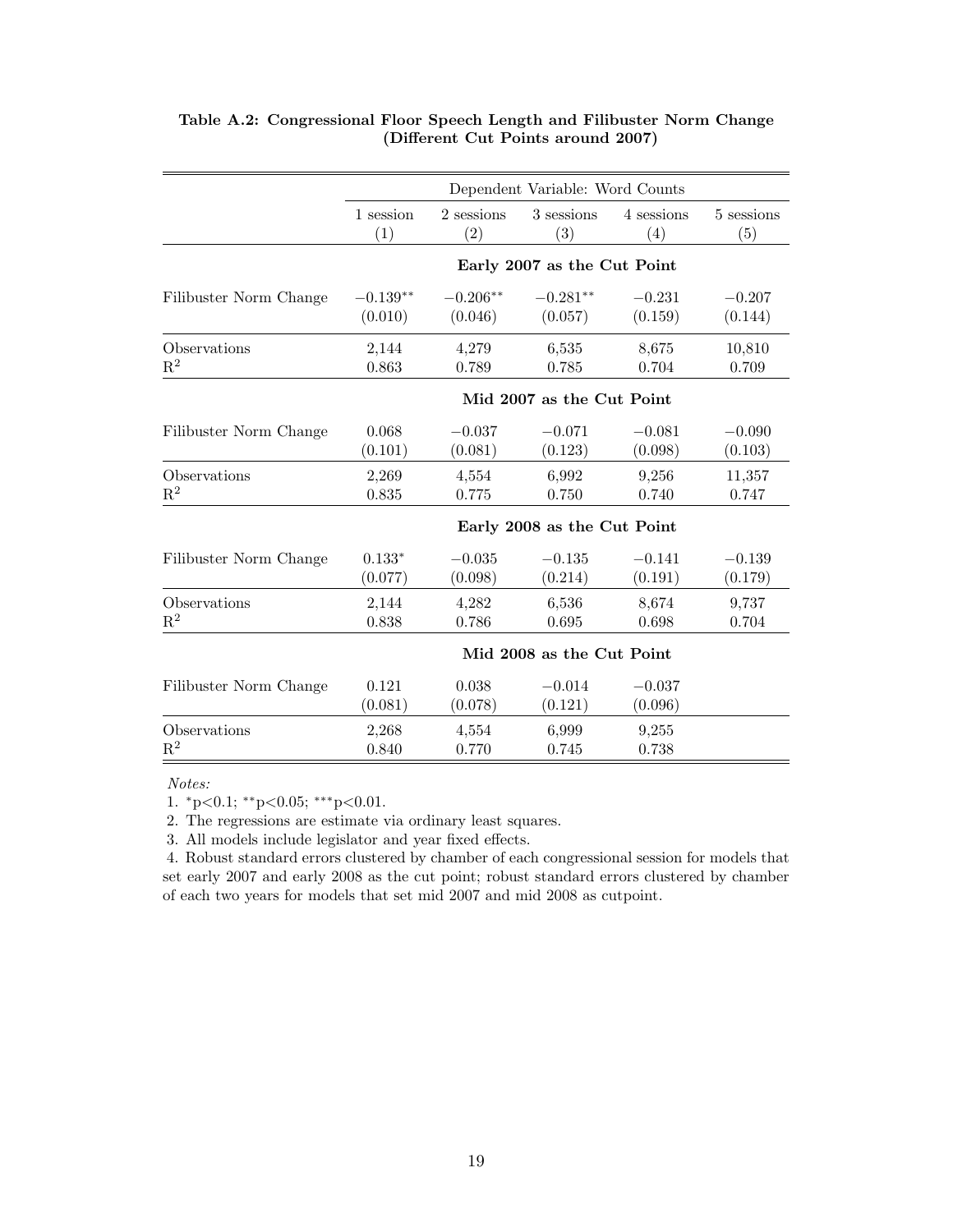|                        |                           | Dependent Variable: Word Counts |                             |                     |            |  |  |
|------------------------|---------------------------|---------------------------------|-----------------------------|---------------------|------------|--|--|
|                        | 1 session                 | 2 sessions                      | 3 sessions                  | 4 sessions          | 5 sessions |  |  |
|                        | (1)                       | (2)                             | (3)                         | (4)                 | (5)        |  |  |
|                        |                           |                                 | Early 2007 as the Cut Point |                     |            |  |  |
| Filibuster Norm Change | $-0.139**$                | $-0.206**$                      | $-0.281**$                  | $-0.231$            | $-0.207$   |  |  |
|                        | (0.010)                   | (0.046)                         | (0.057)                     | (0.159)             | (0.144)    |  |  |
| Observations           | 2,144                     | 4,279                           | 6,535                       | 8,675               | 10,810     |  |  |
| $\mathbf{R}^2$         | 0.863                     | 0.789                           | 0.785                       | 0.704               | 0.709      |  |  |
|                        |                           |                                 | Mid 2007 as the Cut Point   |                     |            |  |  |
| Filibuster Norm Change | 0.068                     | $-0.037$                        | $-0.071$                    | $-0.081$            | $-0.090$   |  |  |
|                        | (0.101)                   | (0.081)                         | (0.123)                     | (0.098)             | (0.103)    |  |  |
| Observations           | 2,269                     | 4,554                           | 6,992                       | 9,256               | 11,357     |  |  |
| $\mathbf{R}^2$         | 0.835                     | 0.775                           | 0.750                       | 0.740               | 0.747      |  |  |
|                        |                           |                                 | Early 2008 as the Cut Point |                     |            |  |  |
| Filibuster Norm Change | $0.133*$                  | $-0.035$                        | $-0.135$                    | $-0.141$            | $-0.139$   |  |  |
|                        | (0.077)                   | (0.098)                         | (0.214)                     | (0.191)             | (0.179)    |  |  |
| Observations           | 2,144                     | 4,282                           | 6,536                       | 8,674               | 9,737      |  |  |
| $\mathbf{R}^2$         | 0.838                     | 0.786                           | 0.695                       | 0.698               | 0.704      |  |  |
|                        | Mid 2008 as the Cut Point |                                 |                             |                     |            |  |  |
| Filibuster Norm Change | 0.121<br>(0.081)          | 0.038<br>(0.078)                | $-0.014$<br>(0.121)         | $-0.037$<br>(0.096) |            |  |  |
| Observations           | 2,268                     | 4,554                           | 6,999                       | 9,255               |            |  |  |
| $\mathbf{R}^2$         | 0.840                     | 0.770                           | 0.745                       | 0.738               |            |  |  |

### Table A.2: Congressional Floor Speech Length and Filibuster Norm Change (Different Cut Points around 2007)

#### Notes:

1.  ${}^*p<0.1$ ;  ${}^*p<0.05$ ;  ${}^{***}p<0.01$ .

2. The regressions are estimate via ordinary least squares.

3. All models include legislator and year fixed effects.

4. Robust standard errors clustered by chamber of each congressional session for models that set early 2007 and early 2008 as the cut point; robust standard errors clustered by chamber of each two years for models that set mid 2007 and mid 2008 as cutpoint.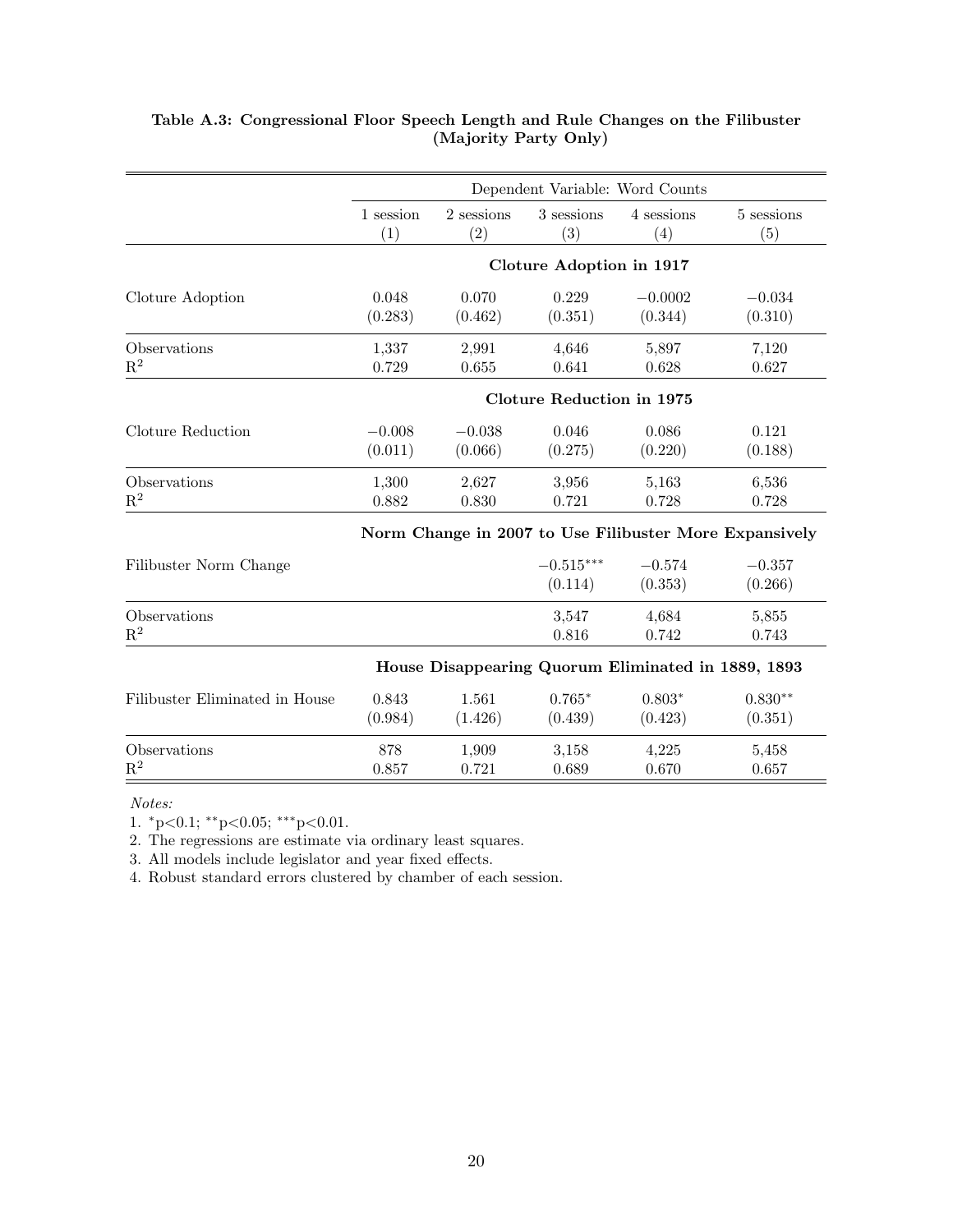|                                | Dependent Variable: Word Counts |            |                                  |                                                    |                                                        |  |
|--------------------------------|---------------------------------|------------|----------------------------------|----------------------------------------------------|--------------------------------------------------------|--|
|                                | 1 session                       | 2 sessions | 3 sessions                       | 4 sessions                                         | 5 sessions                                             |  |
|                                | (1)                             | (2)        | (3)                              | (4)                                                | (5)                                                    |  |
|                                |                                 |            | Cloture Adoption in 1917         |                                                    |                                                        |  |
| Cloture Adoption               | 0.048                           | 0.070      | 0.229                            | $-0.0002$                                          | $-0.034$                                               |  |
|                                | (0.283)                         | (0.462)    | (0.351)                          | (0.344)                                            | (0.310)                                                |  |
| Observations                   | 1,337                           | 2,991      | 4,646                            | 5,897                                              | 7,120                                                  |  |
| $\mathbf{R}^2$                 | 0.729                           | 0.655      | 0.641                            | 0.628                                              | 0.627                                                  |  |
|                                |                                 |            | <b>Cloture Reduction in 1975</b> |                                                    |                                                        |  |
| Cloture Reduction              | $-0.008$                        | $-0.038$   | 0.046                            | 0.086                                              | 0.121                                                  |  |
|                                | (0.011)                         | (0.066)    | (0.275)                          | (0.220)                                            | (0.188)                                                |  |
| Observations                   | 1,300                           | 2,627      | 3,956                            | 5,163                                              | 6,536                                                  |  |
| $\mathbf{R}^2$                 | 0.882                           | 0.830      | 0.721                            | 0.728                                              | 0.728                                                  |  |
|                                |                                 |            |                                  |                                                    | Norm Change in 2007 to Use Filibuster More Expansively |  |
| Filibuster Norm Change         |                                 |            | $-0.515***$<br>(0.114)           | $-0.574$<br>(0.353)                                | $-0.357$<br>(0.266)                                    |  |
| Observations<br>$\mathbf{R}^2$ |                                 |            | 3,547<br>0.816                   | 4,684<br>0.742                                     | 5,855<br>0.743                                         |  |
|                                |                                 |            |                                  | House Disappearing Quorum Eliminated in 1889, 1893 |                                                        |  |
| Filibuster Eliminated in House | 0.843                           | 1.561      | $0.765*$                         | $0.803*$                                           | $0.830**$                                              |  |
|                                | (0.984)                         | (1.426)    | (0.439)                          | (0.423)                                            | (0.351)                                                |  |
| Observations                   | 878                             | 1,909      | 3,158                            | 4,225                                              | 5,458                                                  |  |
| $\mathbf{R}^2$                 | 0.857                           | 0.721      | 0.689                            | 0.670                                              | 0.657                                                  |  |

## Table A.3: Congressional Floor Speech Length and Rule Changes on the Filibuster (Majority Party Only)

Notes:

1.  ${}^*p<0.1$ ;  ${}^{**}p<0.05$ ;  ${}^{***}p<0.01$ .

2. The regressions are estimate via ordinary least squares.

3. All models include legislator and year fixed effects.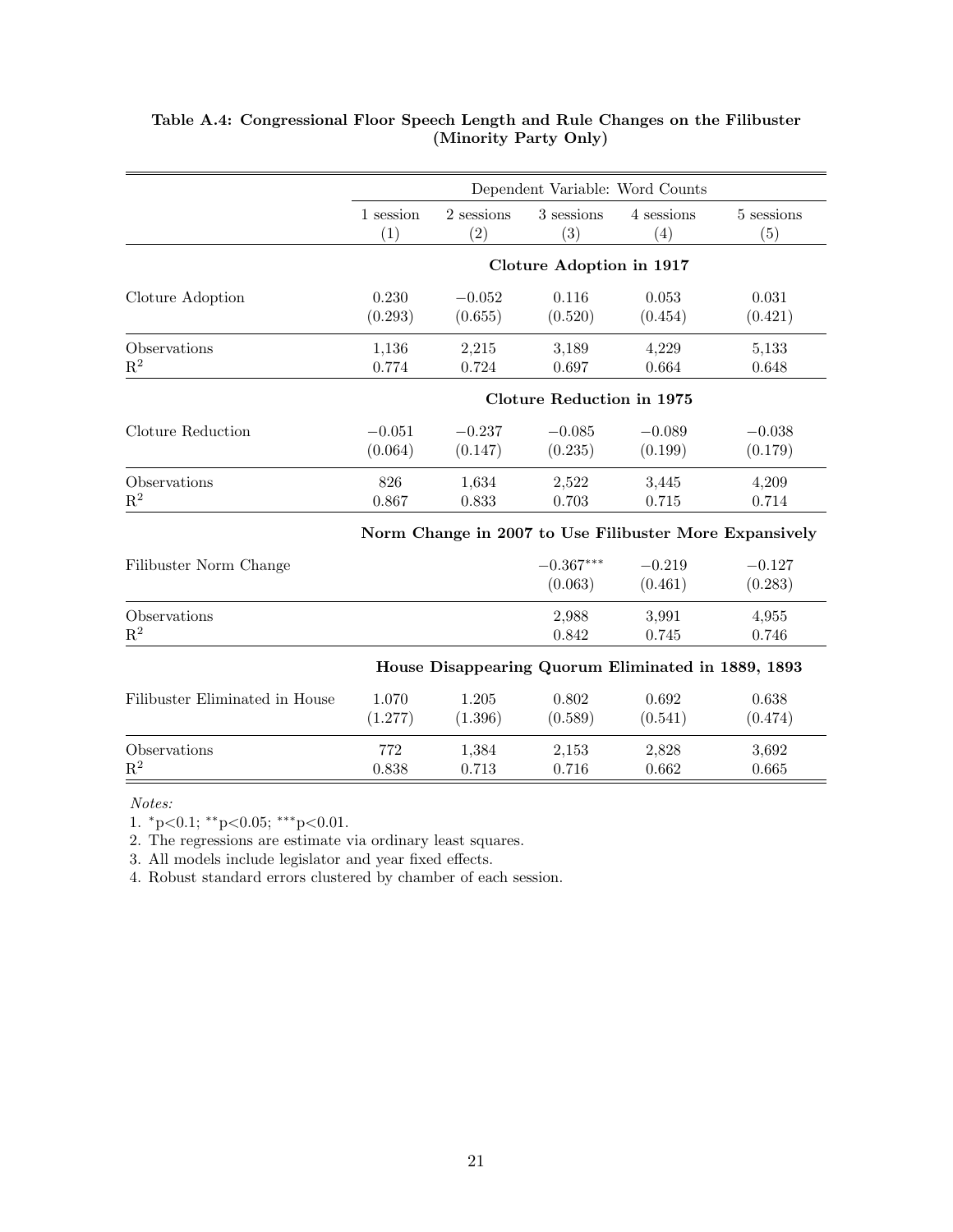|                                | Dependent Variable: Word Counts |            |                                  |                                                    |                                                        |  |
|--------------------------------|---------------------------------|------------|----------------------------------|----------------------------------------------------|--------------------------------------------------------|--|
|                                | 1 session                       | 2 sessions | 3 sessions                       | 4 sessions                                         | 5 sessions                                             |  |
|                                | (1)                             | (2)        | (3)                              | (4)                                                | (5)                                                    |  |
|                                |                                 |            | Cloture Adoption in 1917         |                                                    |                                                        |  |
| Cloture Adoption               | 0.230                           | $-0.052$   | 0.116                            | 0.053                                              | 0.031                                                  |  |
|                                | (0.293)                         | (0.655)    | (0.520)                          | (0.454)                                            | (0.421)                                                |  |
| Observations                   | 1,136                           | 2,215      | 3,189                            | 4,229                                              | 5,133                                                  |  |
| $\mathbf{R}^2$                 | 0.774                           | 0.724      | $0.697\,$                        | 0.664                                              | 0.648                                                  |  |
|                                |                                 |            | <b>Cloture Reduction in 1975</b> |                                                    |                                                        |  |
| Cloture Reduction              | $-0.051$                        | $-0.237$   | $-0.085$                         | $-0.089$                                           | $-0.038$                                               |  |
|                                | (0.064)                         | (0.147)    | (0.235)                          | (0.199)                                            | (0.179)                                                |  |
| Observations                   | 826                             | 1,634      | 2,522                            | 3,445                                              | 4,209                                                  |  |
| $\mathbf{R}^2$                 | 0.867                           | 0.833      | 0.703                            | 0.715                                              | 0.714                                                  |  |
|                                |                                 |            |                                  |                                                    | Norm Change in 2007 to Use Filibuster More Expansively |  |
| Filibuster Norm Change         |                                 |            | $-0.367***$<br>(0.063)           | $-0.219$<br>(0.461)                                | $-0.127$<br>(0.283)                                    |  |
| Observations<br>$\mathbf{R}^2$ |                                 |            | 2,988<br>0.842                   | 3,991<br>0.745                                     | 4,955<br>0.746                                         |  |
|                                |                                 |            |                                  | House Disappearing Quorum Eliminated in 1889, 1893 |                                                        |  |
| Filibuster Eliminated in House | 1.070                           | 1.205      | 0.802                            | 0.692                                              | 0.638                                                  |  |
|                                | (1.277)                         | (1.396)    | (0.589)                          | (0.541)                                            | (0.474)                                                |  |
| Observations                   | 772                             | 1,384      | 2,153                            | 2,828                                              | 3,692                                                  |  |
| $\mathbf{R}^2$                 | 0.838                           | 0.713      | 0.716                            | 0.662                                              | 0.665                                                  |  |

## Table A.4: Congressional Floor Speech Length and Rule Changes on the Filibuster (Minority Party Only)

Notes:

1.  ${}^*p<0.1$ ;  ${}^{**}p<0.05$ ;  ${}^{***}p<0.01$ .

2. The regressions are estimate via ordinary least squares.

3. All models include legislator and year fixed effects.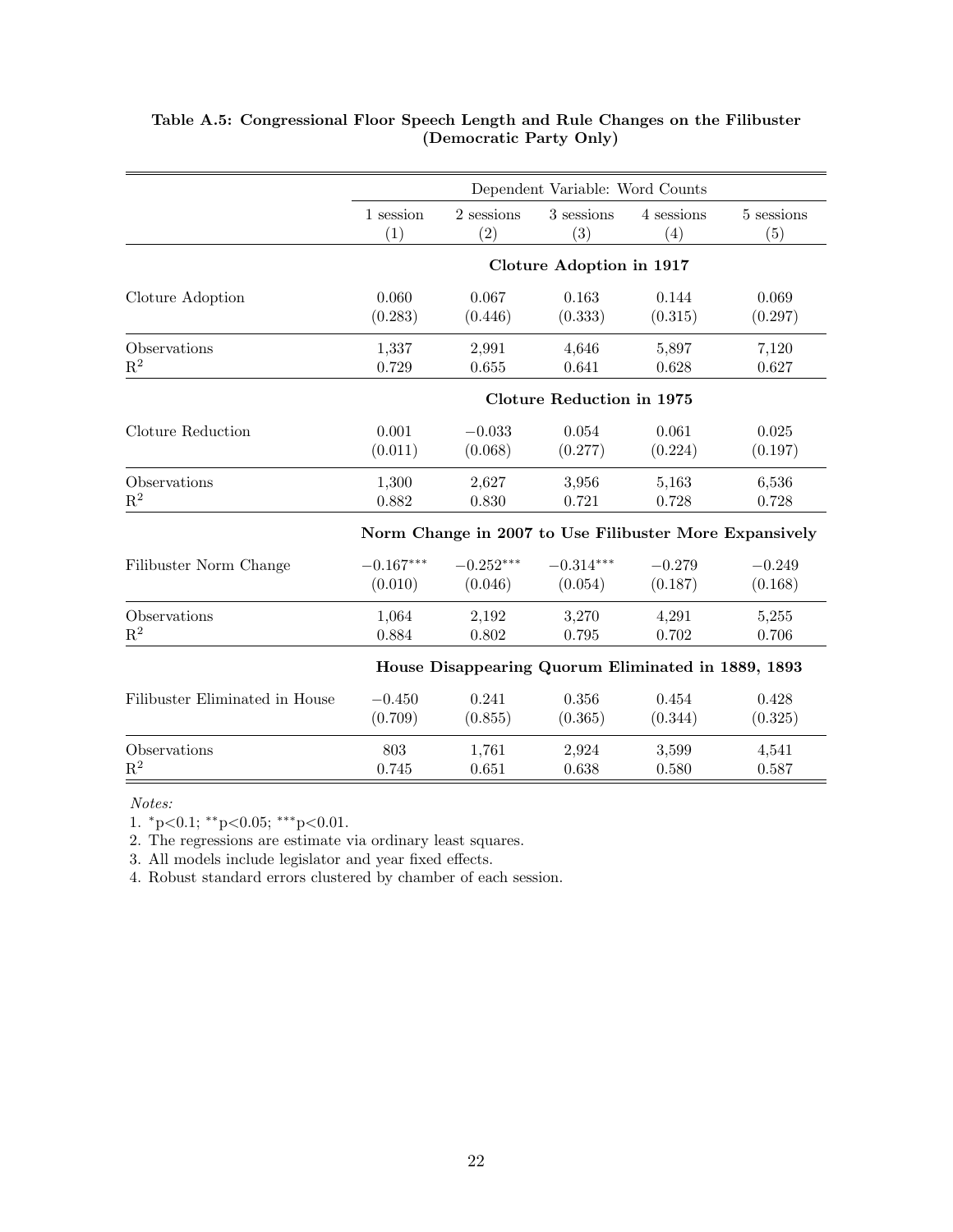|                                | Dependent Variable: Word Counts |                                                    |                                  |            |                                                        |  |
|--------------------------------|---------------------------------|----------------------------------------------------|----------------------------------|------------|--------------------------------------------------------|--|
|                                | 1 session                       | 2 sessions                                         | 3 sessions                       | 4 sessions | 5 sessions                                             |  |
|                                | (1)                             | (2)                                                | (3)                              | (4)        | (5)                                                    |  |
|                                |                                 |                                                    | Cloture Adoption in 1917         |            |                                                        |  |
| Cloture Adoption               | 0.060                           | 0.067                                              | 0.163                            | 0.144      | 0.069                                                  |  |
|                                | (0.283)                         | (0.446)                                            | (0.333)                          | (0.315)    | (0.297)                                                |  |
| Observations                   | 1,337                           | 2,991                                              | 4,646                            | 5,897      | 7,120                                                  |  |
| $R^2$                          | 0.729                           | 0.655                                              | 0.641                            | 0.628      | 0.627                                                  |  |
|                                |                                 |                                                    | <b>Cloture Reduction in 1975</b> |            |                                                        |  |
| Cloture Reduction              | 0.001                           | $-0.033$                                           | 0.054                            | 0.061      | 0.025                                                  |  |
|                                | (0.011)                         | (0.068)                                            | (0.277)                          | (0.224)    | (0.197)                                                |  |
| Observations                   | 1,300                           | 2,627                                              | 3,956                            | 5,163      | 6,536                                                  |  |
| $\mathbf{R}^2$                 | 0.882                           | 0.830                                              | 0.721                            | 0.728      | 0.728                                                  |  |
|                                |                                 |                                                    |                                  |            | Norm Change in 2007 to Use Filibuster More Expansively |  |
| Filibuster Norm Change         | $-0.167***$                     | $-0.252***$                                        | $-0.314***$                      | $-0.279$   | $-0.249$                                               |  |
|                                | (0.010)                         | (0.046)                                            | (0.054)                          | (0.187)    | (0.168)                                                |  |
| Observations                   | 1,064                           | 2,192                                              | 3,270                            | 4,291      | 5,255                                                  |  |
| $R^2$                          | 0.884                           | 0.802                                              | 0.795                            | 0.702      | 0.706                                                  |  |
|                                |                                 | House Disappearing Quorum Eliminated in 1889, 1893 |                                  |            |                                                        |  |
| Filibuster Eliminated in House | $-0.450$                        | 0.241                                              | 0.356                            | 0.454      | 0.428                                                  |  |
|                                | (0.709)                         | (0.855)                                            | (0.365)                          | (0.344)    | (0.325)                                                |  |
| Observations                   | 803                             | 1,761                                              | 2,924                            | 3,599      | 4,541                                                  |  |
| $\mathbf{R}^2$                 | 0.745                           | 0.651                                              | 0.638                            | 0.580      | 0.587                                                  |  |

### Table A.5: Congressional Floor Speech Length and Rule Changes on the Filibuster (Democratic Party Only)

Notes:

1. <sup>∗</sup>p<0.1; ∗∗p<0.05; ∗∗∗p<0.01.

2. The regressions are estimate via ordinary least squares.

3. All models include legislator and year fixed effects.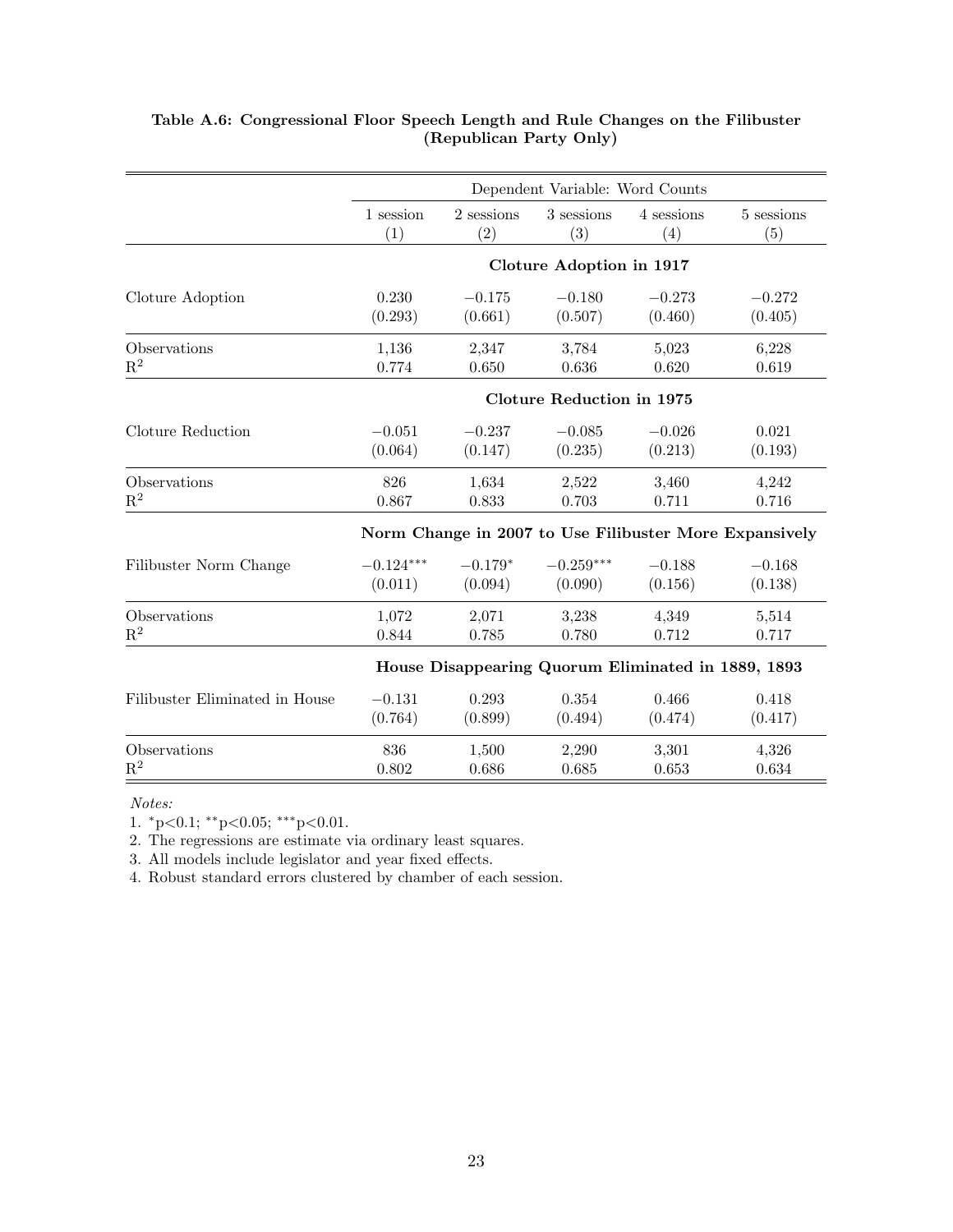|                                | Dependent Variable: Word Counts  |            |                                                    |            |                                                        |  |  |
|--------------------------------|----------------------------------|------------|----------------------------------------------------|------------|--------------------------------------------------------|--|--|
|                                | 1 session                        | 2 sessions | 3 sessions                                         | 4 sessions | 5 sessions                                             |  |  |
|                                | (1)                              | (2)        | (3)                                                | (4)        | (5)                                                    |  |  |
|                                |                                  |            | Cloture Adoption in 1917                           |            |                                                        |  |  |
| Cloture Adoption               | 0.230                            | $-0.175$   | $-0.180$                                           | $-0.273$   | $-0.272$                                               |  |  |
|                                | (0.293)                          | (0.661)    | (0.507)                                            | (0.460)    | (0.405)                                                |  |  |
| Observations                   | 1,136                            | 2,347      | 3,784                                              | 5,023      | 6,228                                                  |  |  |
| $\mathbf{R}^2$                 | 0.774                            | 0.650      | 0.636                                              | 0.620      | 0.619                                                  |  |  |
|                                | <b>Cloture Reduction in 1975</b> |            |                                                    |            |                                                        |  |  |
| Cloture Reduction              | $-0.051$                         | $-0.237$   | $-0.085$                                           | $-0.026$   | 0.021                                                  |  |  |
|                                | (0.064)                          | (0.147)    | (0.235)                                            | (0.213)    | (0.193)                                                |  |  |
| Observations                   | 826                              | 1,634      | 2,522                                              | 3,460      | 4,242                                                  |  |  |
| $\mathbf{R}^2$                 | 0.867                            | 0.833      | 0.703                                              | 0.711      | 0.716                                                  |  |  |
|                                |                                  |            |                                                    |            | Norm Change in 2007 to Use Filibuster More Expansively |  |  |
| Filibuster Norm Change         | $-0.124***$                      | $-0.179*$  | $-0.259***$                                        | $-0.188$   | $-0.168$                                               |  |  |
|                                | (0.011)                          | (0.094)    | (0.090)                                            | (0.156)    | (0.138)                                                |  |  |
| Observations                   | 1,072                            | 2,071      | 3,238                                              | 4,349      | 5,514                                                  |  |  |
| $\mathbf{R}^2$                 | 0.844                            | 0.785      | 0.780                                              | 0.712      | 0.717                                                  |  |  |
|                                |                                  |            | House Disappearing Quorum Eliminated in 1889, 1893 |            |                                                        |  |  |
| Filibuster Eliminated in House | $-0.131$                         | 0.293      | 0.354                                              | 0.466      | 0.418                                                  |  |  |
|                                | (0.764)                          | (0.899)    | (0.494)                                            | (0.474)    | (0.417)                                                |  |  |
| Observations                   | 836                              | 1,500      | 2,290                                              | 3,301      | 4,326                                                  |  |  |
| $\mathbf{R}^2$                 | 0.802                            | 0.686      | 0.685                                              | 0.653      | 0.634                                                  |  |  |

### Table A.6: Congressional Floor Speech Length and Rule Changes on the Filibuster (Republican Party Only)

Notes:

1.  ${}^*p<0.1$ ;  ${}^{**}p<0.05$ ;  ${}^{***}p<0.01$ .

2. The regressions are estimate via ordinary least squares.

3. All models include legislator and year fixed effects.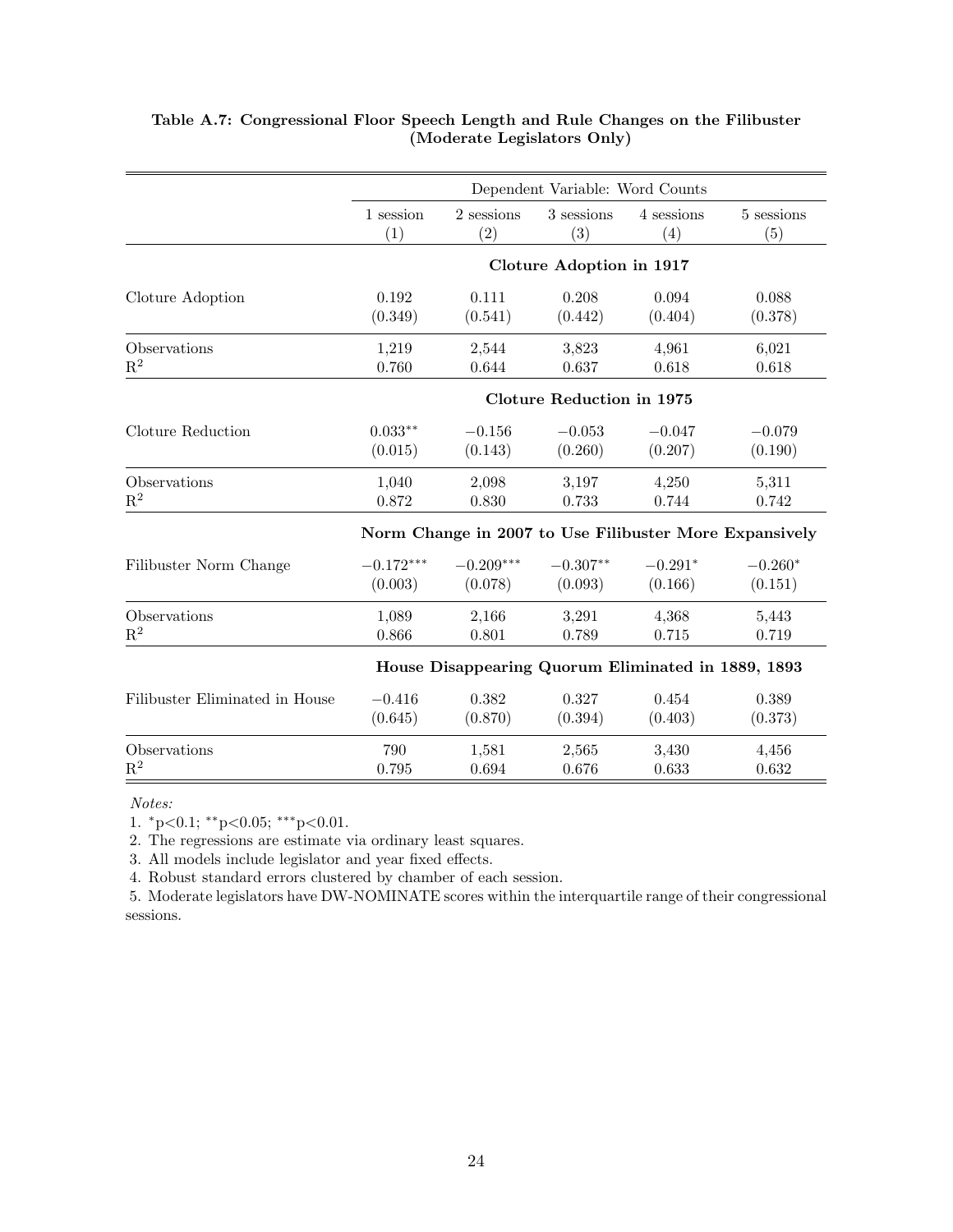|                                |             |             | Dependent Variable: Word Counts  |                                                    |                                                        |
|--------------------------------|-------------|-------------|----------------------------------|----------------------------------------------------|--------------------------------------------------------|
|                                | 1 session   | 2 sessions  | 3 sessions                       | 4 sessions                                         | 5 sessions                                             |
|                                | (1)         | (2)         | (3)                              | (4)                                                | (5)                                                    |
|                                |             |             | Cloture Adoption in 1917         |                                                    |                                                        |
| Cloture Adoption               | 0.192       | 0.111       | 0.208                            | 0.094                                              | 0.088                                                  |
|                                | (0.349)     | (0.541)     | (0.442)                          | (0.404)                                            | (0.378)                                                |
| Observations                   | 1,219       | 2,544       | 3,823                            | 4,961                                              | 6,021                                                  |
| $\mathbf{R}^2$                 | 0.760       | 0.644       | 0.637                            | 0.618                                              | 0.618                                                  |
|                                |             |             | <b>Cloture Reduction in 1975</b> |                                                    |                                                        |
| Cloture Reduction              | $0.033**$   | $-0.156$    | $-0.053$                         | $-0.047$                                           | $-0.079$                                               |
|                                | (0.015)     | (0.143)     | (0.260)                          | (0.207)                                            | (0.190)                                                |
| Observations                   | 1,040       | 2,098       | 3,197                            | 4,250                                              | 5,311                                                  |
| $\mathbf{R}^2$                 | 0.872       | 0.830       | 0.733                            | 0.744                                              | 0.742                                                  |
|                                |             |             |                                  |                                                    | Norm Change in 2007 to Use Filibuster More Expansively |
| Filibuster Norm Change         | $-0.172***$ | $-0.209***$ | $-0.307**$                       | $-0.291*$                                          | $-0.260*$                                              |
|                                | (0.003)     | (0.078)     | (0.093)                          | (0.166)                                            | (0.151)                                                |
| Observations                   | 1,089       | 2,166       | 3,291                            | 4,368                                              | 5,443                                                  |
| $\mathbf{R}^2$                 | 0.866       | 0.801       | 0.789                            | 0.715                                              | 0.719                                                  |
|                                |             |             |                                  | House Disappearing Quorum Eliminated in 1889, 1893 |                                                        |
| Filibuster Eliminated in House | $-0.416$    | 0.382       | 0.327                            | 0.454                                              | 0.389                                                  |
|                                | (0.645)     | (0.870)     | (0.394)                          | (0.403)                                            | (0.373)                                                |
| Observations                   | 790         | 1,581       | 2,565                            | 3,430                                              | 4,456                                                  |
| $\mathbf{R}^2$                 | 0.795       | 0.694       | 0.676                            | 0.633                                              | 0.632                                                  |

## Table A.7: Congressional Floor Speech Length and Rule Changes on the Filibuster (Moderate Legislators Only)

Notes:

1. <sup>∗</sup>p<0.1; ∗∗p<0.05; ∗∗∗p<0.01.

2. The regressions are estimate via ordinary least squares.

3. All models include legislator and year fixed effects.

4. Robust standard errors clustered by chamber of each session.

5. Moderate legislators have DW-NOMINATE scores within the interquartile range of their congressional sessions.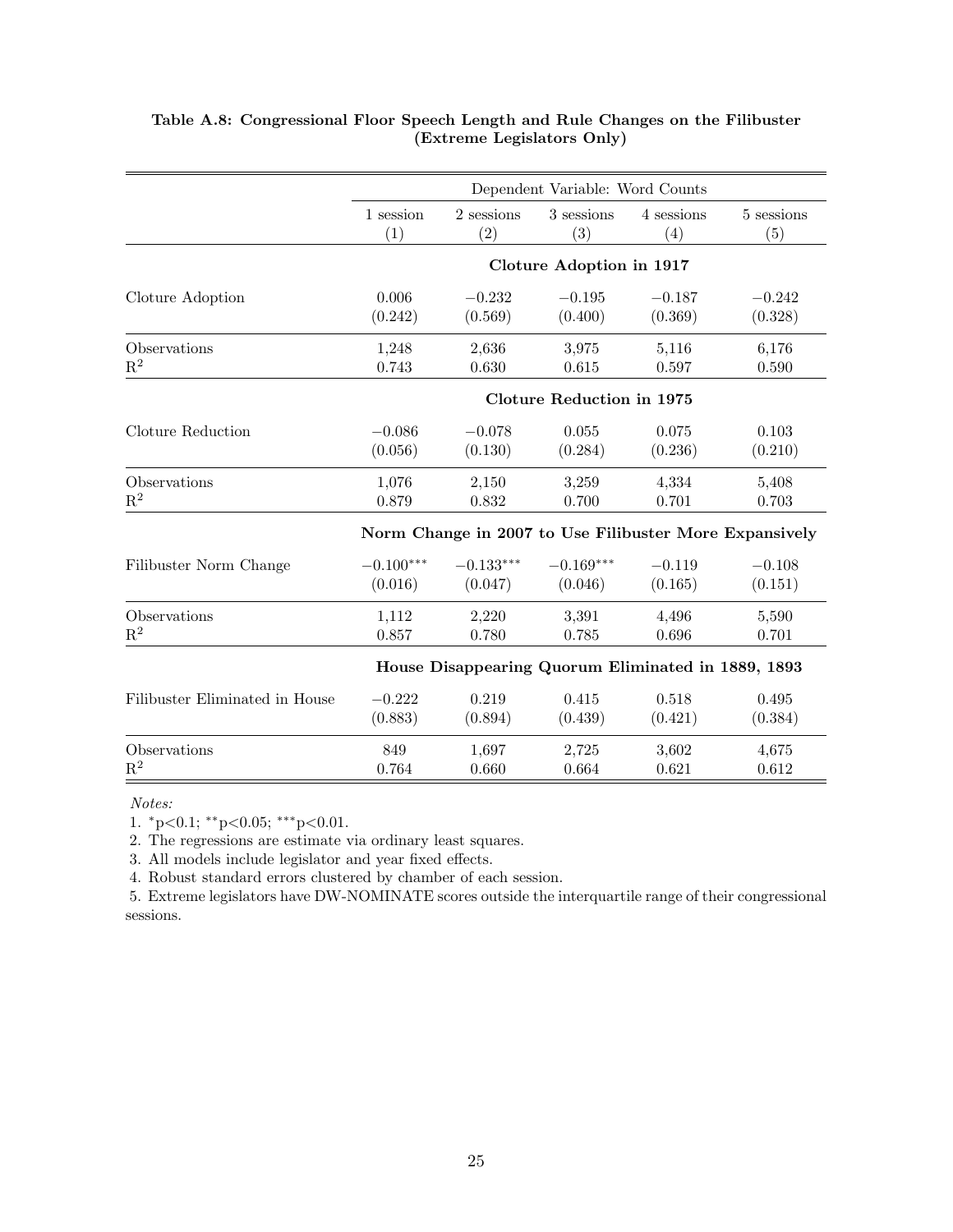|                                | Dependent Variable: Word Counts |             |                                  |                                                    |                                                        |  |
|--------------------------------|---------------------------------|-------------|----------------------------------|----------------------------------------------------|--------------------------------------------------------|--|
|                                | 1 session                       | 2 sessions  | 3 sessions                       | 4 sessions                                         | 5 sessions                                             |  |
|                                | (1)                             | (2)         | (3)                              | (4)                                                | (5)                                                    |  |
|                                |                                 |             | Cloture Adoption in 1917         |                                                    |                                                        |  |
| Cloture Adoption               | 0.006                           | $-0.232$    | $-0.195$                         | $-0.187$                                           | $-0.242$                                               |  |
|                                | (0.242)                         | (0.569)     | (0.400)                          | (0.369)                                            | (0.328)                                                |  |
| Observations                   | 1,248                           | 2,636       | 3,975                            | 5,116                                              | 6,176                                                  |  |
| $R^2$                          | 0.743                           | 0.630       | 0.615                            | 0.597                                              | 0.590                                                  |  |
|                                |                                 |             | <b>Cloture Reduction in 1975</b> |                                                    |                                                        |  |
| Cloture Reduction              | $-0.086$                        | $-0.078$    | 0.055                            | 0.075                                              | 0.103                                                  |  |
|                                | (0.056)                         | (0.130)     | (0.284)                          | (0.236)                                            | (0.210)                                                |  |
| Observations                   | 1,076                           | 2,150       | 3,259                            | 4,334                                              | 5,408                                                  |  |
| $\mathbf{R}^2$                 | 0.879                           | 0.832       | 0.700                            | 0.701                                              | 0.703                                                  |  |
|                                |                                 |             |                                  |                                                    | Norm Change in 2007 to Use Filibuster More Expansively |  |
| Filibuster Norm Change         | $-0.100***$                     | $-0.133***$ | $-0.169***$                      | $-0.119$                                           | $-0.108$                                               |  |
|                                | (0.016)                         | (0.047)     | (0.046)                          | (0.165)                                            | (0.151)                                                |  |
| Observations                   | 1,112                           | 2,220       | 3,391                            | 4,496                                              | 5,590                                                  |  |
| $R^2$                          | 0.857                           | 0.780       | 0.785                            | 0.696                                              | 0.701                                                  |  |
|                                |                                 |             |                                  | House Disappearing Quorum Eliminated in 1889, 1893 |                                                        |  |
| Filibuster Eliminated in House | $-0.222$                        | 0.219       | 0.415                            | 0.518                                              | 0.495                                                  |  |
|                                | (0.883)                         | (0.894)     | (0.439)                          | (0.421)                                            | (0.384)                                                |  |
| Observations                   | 849                             | 1,697       | 2,725                            | 3,602                                              | 4,675                                                  |  |
| $\mathbf{R}^2$                 | 0.764                           | 0.660       | 0.664                            | 0.621                                              | 0.612                                                  |  |

## Table A.8: Congressional Floor Speech Length and Rule Changes on the Filibuster (Extreme Legislators Only)

Notes:

1. <sup>∗</sup>p<0.1; ∗∗p<0.05; ∗∗∗p<0.01.

2. The regressions are estimate via ordinary least squares.

3. All models include legislator and year fixed effects.

4. Robust standard errors clustered by chamber of each session.

5. Extreme legislators have DW-NOMINATE scores outside the interquartile range of their congressional sessions.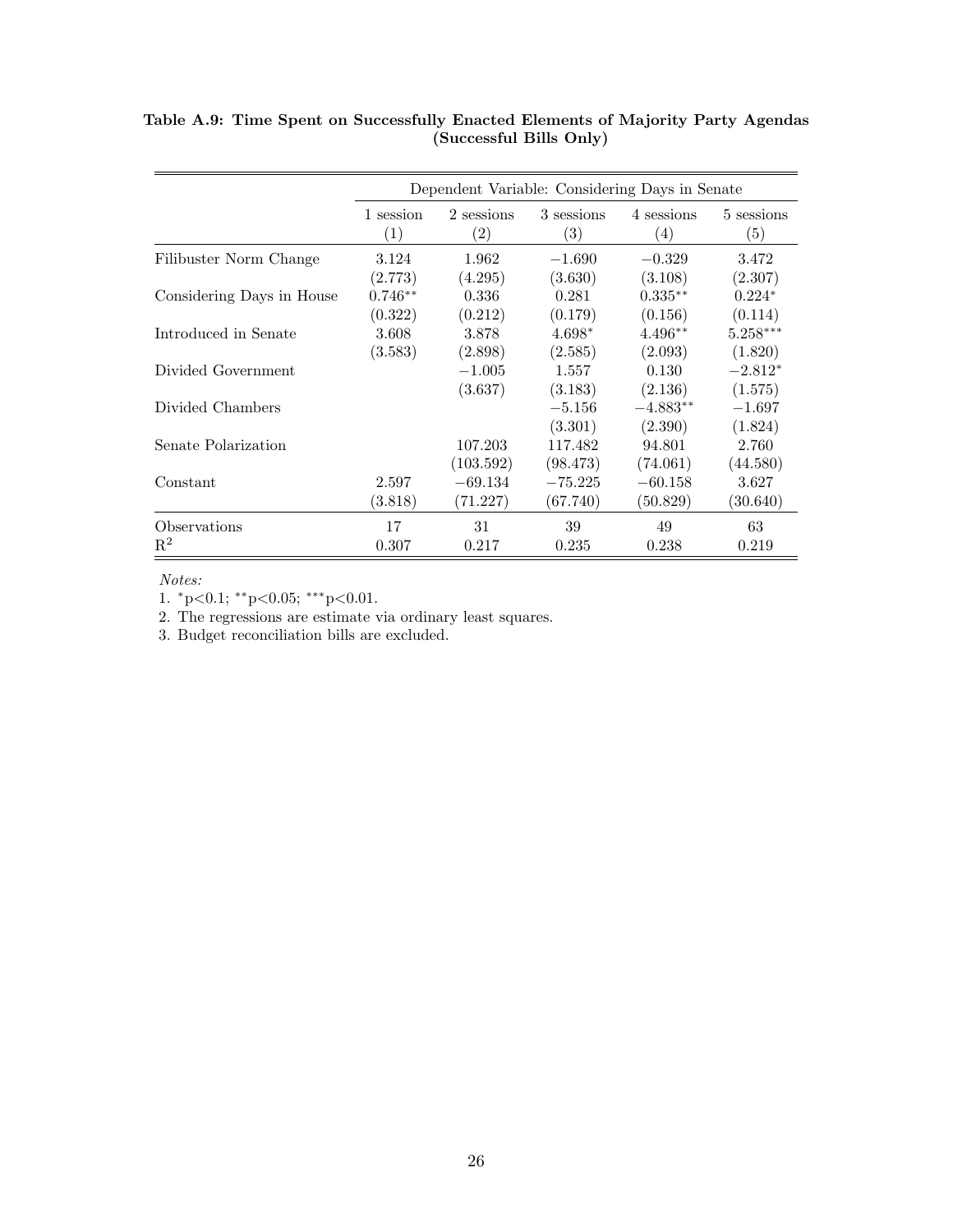|                           | Dependent Variable: Considering Days in Senate |                                 |                                 |                                 |                       |
|---------------------------|------------------------------------------------|---------------------------------|---------------------------------|---------------------------------|-----------------------|
|                           | 1 session<br>(1)                               | 2 sessions<br>$\left( 2\right)$ | 3 sessions<br>$\left( 3\right)$ | 4 sessions<br>$\left( 4\right)$ | 5 sessions<br>(5)     |
| Filibuster Norm Change    | 3.124                                          | 1.962                           | $-1.690$                        | $-0.329$                        | 3.472                 |
| Considering Days in House | (2.773)<br>$0.746**$                           | (4.295)<br>0.336                | (3.630)<br>0.281                | (3.108)<br>$0.335**$            | (2.307)<br>$0.224*$   |
| Introduced in Senate      | (0.322)<br>3.608                               | (0.212)<br>3.878                | (0.179)<br>$4.698*$             | (0.156)<br>$4.496**$            | (0.114)<br>$5.258***$ |
| Divided Government        | (3.583)                                        | (2.898)<br>$-1.005$             | (2.585)<br>1.557                | (2.093)<br>0.130                | (1.820)<br>$-2.812*$  |
| Divided Chambers          |                                                | (3.637)                         | (3.183)<br>$-5.156$             | (2.136)<br>$-4.883**$           | (1.575)<br>$-1.697$   |
|                           |                                                |                                 | (3.301)                         | (2.390)                         | (1.824)               |
| Senate Polarization       |                                                | 107.203<br>(103.592)            | 117.482<br>(98.473)             | 94.801<br>(74.061)              | 2.760<br>(44.580)     |
| Constant                  | 2.597<br>(3.818)                               | $-69.134$<br>(71.227)           | $-75.225$<br>(67.740)           | $-60.158$<br>(50.829)           | 3.627<br>(30.640)     |
| Observations<br>$R^2$     | 17<br>0.307                                    | 31<br>0.217                     | 39<br>0.235                     | 49<br>0.238                     | 63<br>0.219           |

Table A.9: Time Spent on Successfully Enacted Elements of Majority Party Agendas (Successful Bills Only)

Notes:

1.  $^*p{<}0.1;$   $^{**}p{<}0.05;$   $^{***}p{<}0.01.$ 

2. The regressions are estimate via ordinary least squares.

3. Budget reconciliation bills are excluded.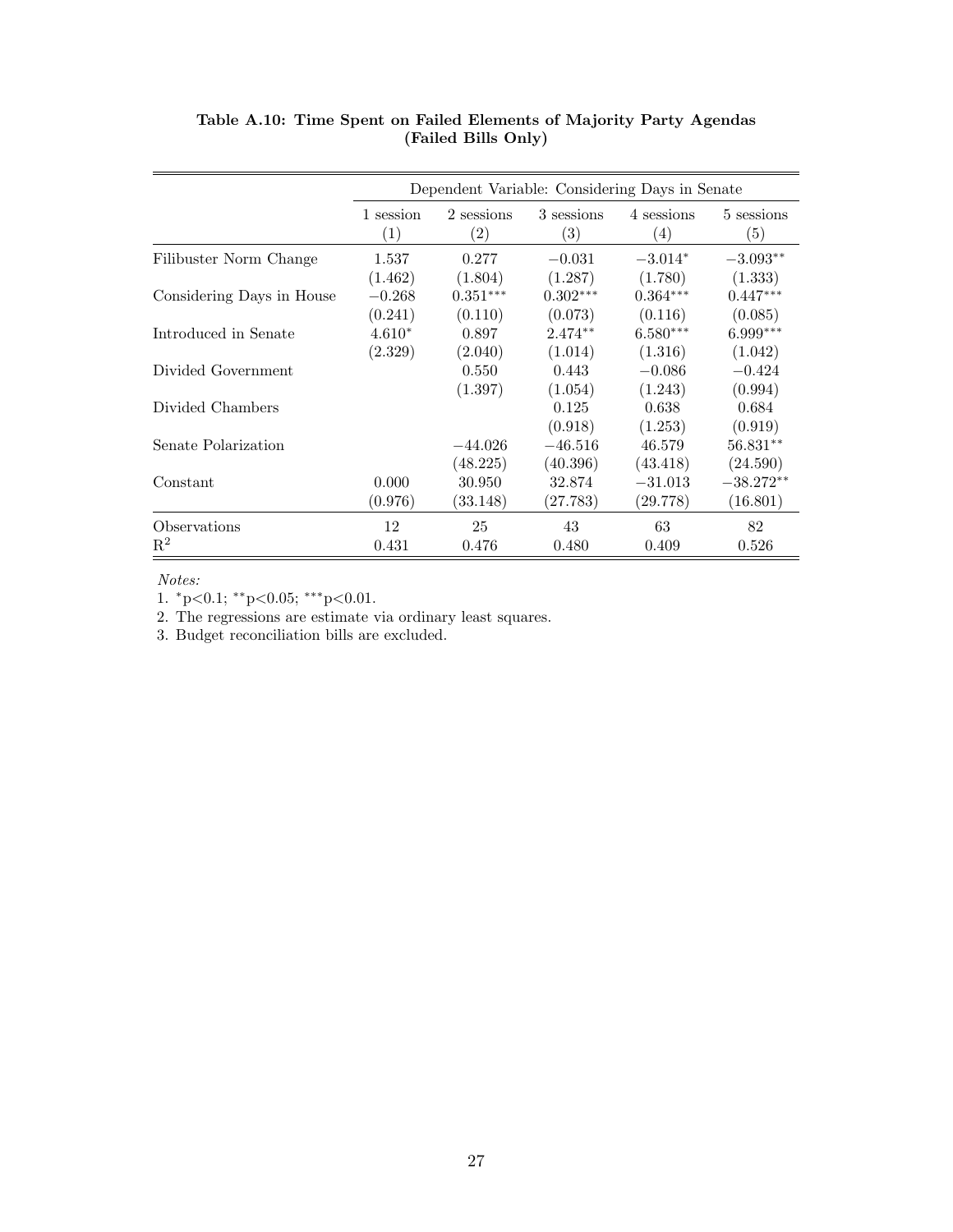|                           | Dependent Variable: Considering Days in Senate |                                 |                                 |                                 |                   |
|---------------------------|------------------------------------------------|---------------------------------|---------------------------------|---------------------------------|-------------------|
|                           | 1 session<br>$\left( 1\right)$                 | 2 sessions<br>$\left( 2\right)$ | 3 sessions<br>$\left( 3\right)$ | 4 sessions<br>$\left( 4\right)$ | 5 sessions<br>(5) |
| Filibuster Norm Change    | 1.537                                          | 0.277                           | $-0.031$                        | $-3.014*$                       | $-3.093**$        |
|                           | (1.462)                                        | (1.804)                         | (1.287)                         | (1.780)                         | (1.333)           |
| Considering Days in House | $-0.268$                                       | $0.351***$                      | $0.302***$                      | $0.364***$                      | $0.447***$        |
|                           | (0.241)                                        | (0.110)                         | (0.073)                         | (0.116)                         | (0.085)           |
| Introduced in Senate      | $4.610*$                                       | 0.897                           | $2.474**$                       | $6.580***$                      | $6.999***$        |
|                           | (2.329)                                        | (2.040)                         | (1.014)                         | (1.316)                         | (1.042)           |
| Divided Government        |                                                | 0.550                           | 0.443                           | $-0.086$                        | $-0.424$          |
|                           |                                                | (1.397)                         | (1.054)                         | (1.243)                         | (0.994)           |
| Divided Chambers          |                                                |                                 | 0.125                           | 0.638                           | 0.684             |
|                           |                                                |                                 | (0.918)                         | (1.253)                         | (0.919)           |
| Senate Polarization       |                                                | $-44.026$                       | $-46.516$                       | 46.579                          | $56.831**$        |
|                           |                                                | (48.225)                        | (40.396)                        | (43.418)                        | (24.590)          |
| Constant                  | 0.000                                          | 30.950                          | 32.874                          | $-31.013$                       | $-38.272**$       |
|                           | (0.976)                                        | (33.148)                        | (27.783)                        | (29.778)                        | (16.801)          |
| Observations              | 12                                             | 25                              | 43                              | 63                              | 82                |
| $\mathbf{R}^2$            | 0.431                                          | 0.476                           | 0.480                           | 0.409                           | 0.526             |

Table A.10: Time Spent on Failed Elements of Majority Party Agendas (Failed Bills Only)

Notes:

1.  $^*p{<}0.1;$   $^{**}p{<}0.05;$   $^{***}p{<}0.01.$ 

2. The regressions are estimate via ordinary least squares.

3. Budget reconciliation bills are excluded.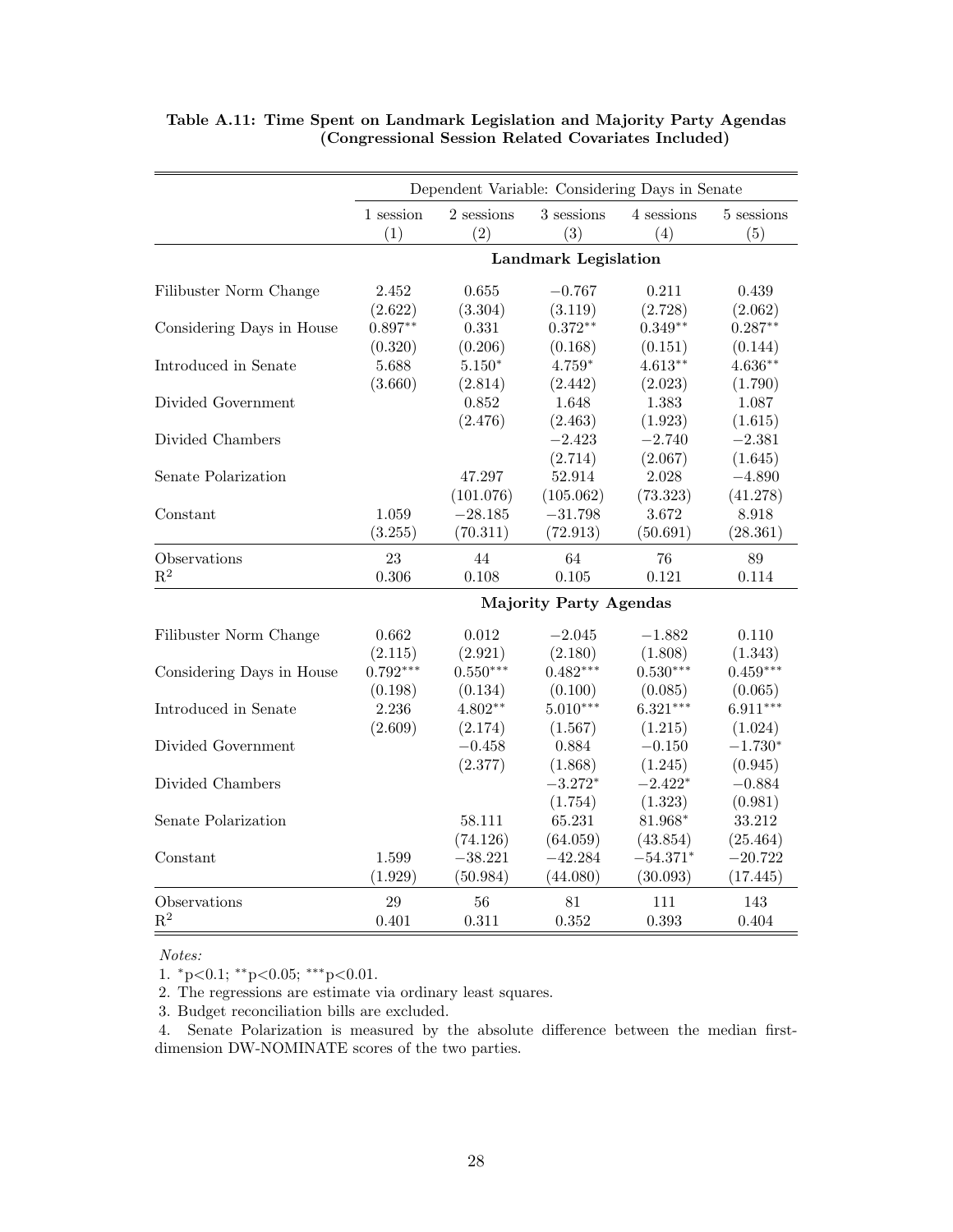|                           | Dependent Variable: Considering Days in Senate |                   |                   |                   |                   |
|---------------------------|------------------------------------------------|-------------------|-------------------|-------------------|-------------------|
|                           | 1 session<br>(1)                               | 2 sessions<br>(2) | 3 sessions<br>(3) | 4 sessions<br>(4) | 5 sessions<br>(5) |
|                           | <b>Landmark Legislation</b>                    |                   |                   |                   |                   |
| Filibuster Norm Change    | 2.452                                          | 0.655             | $-0.767$          | 0.211             | 0.439             |
|                           | (2.622)                                        | (3.304)           | (3.119)           | (2.728)           | (2.062)           |
| Considering Days in House | $0.897**$                                      | 0.331             | $0.372**$         | $0.349**$         | $0.287**$         |
|                           | (0.320)                                        | (0.206)           | (0.168)           | (0.151)           | (0.144)           |
| Introduced in Senate      | 5.688                                          | $5.150*$          | $4.759*$          | $4.613**$         | $4.636**$         |
|                           | (3.660)                                        | (2.814)           | (2.442)           | (2.023)           | (1.790)           |
| Divided Government        |                                                | 0.852             | 1.648             | 1.383             | 1.087             |
|                           |                                                | (2.476)           | (2.463)           | (1.923)           | (1.615)           |
| Divided Chambers          |                                                |                   | $-2.423$          | $-2.740$          | $-2.381$          |
|                           |                                                |                   | (2.714)           | (2.067)           | (1.645)           |
| Senate Polarization       |                                                | 47.297            | 52.914            | 2.028             | $-4.890$          |
|                           |                                                | (101.076)         | (105.062)         | (73.323)          | (41.278)          |
| Constant                  | 1.059                                          | $-28.185$         | $-31.798$         | 3.672             | 8.918             |
|                           | (3.255)                                        | (70.311)          | (72.913)          | (50.691)          | (28.361)          |
| Observations              | 23                                             | 44                | 64                | 76                | 89                |
| $\mathbf{R}^2$            | 0.306                                          | 0.108             | 0.105             | 0.121             | 0.114             |
|                           | <b>Majority Party Agendas</b>                  |                   |                   |                   |                   |
| Filibuster Norm Change    | 0.662                                          | 0.012             | $-2.045$          | $-1.882$          | 0.110             |
|                           | (2.115)                                        | (2.921)           | (2.180)           | (1.808)           | (1.343)           |
| Considering Days in House | $0.792***$                                     | $0.550***$        | $0.482***$        | $0.530***$        | $0.459***$        |
|                           | (0.198)                                        | (0.134)           | (0.100)           | (0.085)           | (0.065)           |
| Introduced in Senate      | 2.236                                          | $4.802**$         | $5.010***$        | $6.321***$        | $6.911***$        |
|                           | (2.609)                                        | (2.174)           | (1.567)           | (1.215)           | (1.024)           |
| Divided Government        |                                                | $-0.458$          | 0.884             | $-0.150$          | $-1.730*$         |
|                           |                                                | (2.377)           | (1.868)           | (1.245)           | (0.945)           |
| Divided Chambers          |                                                |                   | $-3.272*$         | $-2.422*$         | $-0.884$          |
|                           |                                                |                   | (1.754)           | (1.323)           | (0.981)           |
| Senate Polarization       |                                                | 58.111            | 65.231            | 81.968*           | 33.212            |
|                           |                                                | (74.126)          | (64.059)          | (43.854)          | (25.464)          |
| Constant                  | 1.599                                          | $-38.221$         | $-42.284$         | $-54.371*$        | $-20.722$         |
|                           | (1.929)                                        | (50.984)          | (44.080)          | (30.093)          | (17.445)          |
| Observations              | 29                                             | 56                | 81                | 111               | 143               |
| $\mathbf{R}^2$            | 0.401                                          | 0.311             | 0.352             | 0.393             | 0.404             |
|                           |                                                |                   |                   |                   |                   |

### Table A.11: Time Spent on Landmark Legislation and Majority Party Agendas (Congressional Session Related Covariates Included)

Notes:

1.  $^{*}p<0.1$ ;  $^{**}p<0.05$ ;  $^{***}p<0.01$ .

2. The regressions are estimate via ordinary least squares.

3. Budget reconciliation bills are excluded.

4. Senate Polarization is measured by the absolute difference between the median firstdimension DW-NOMINATE scores of the two parties.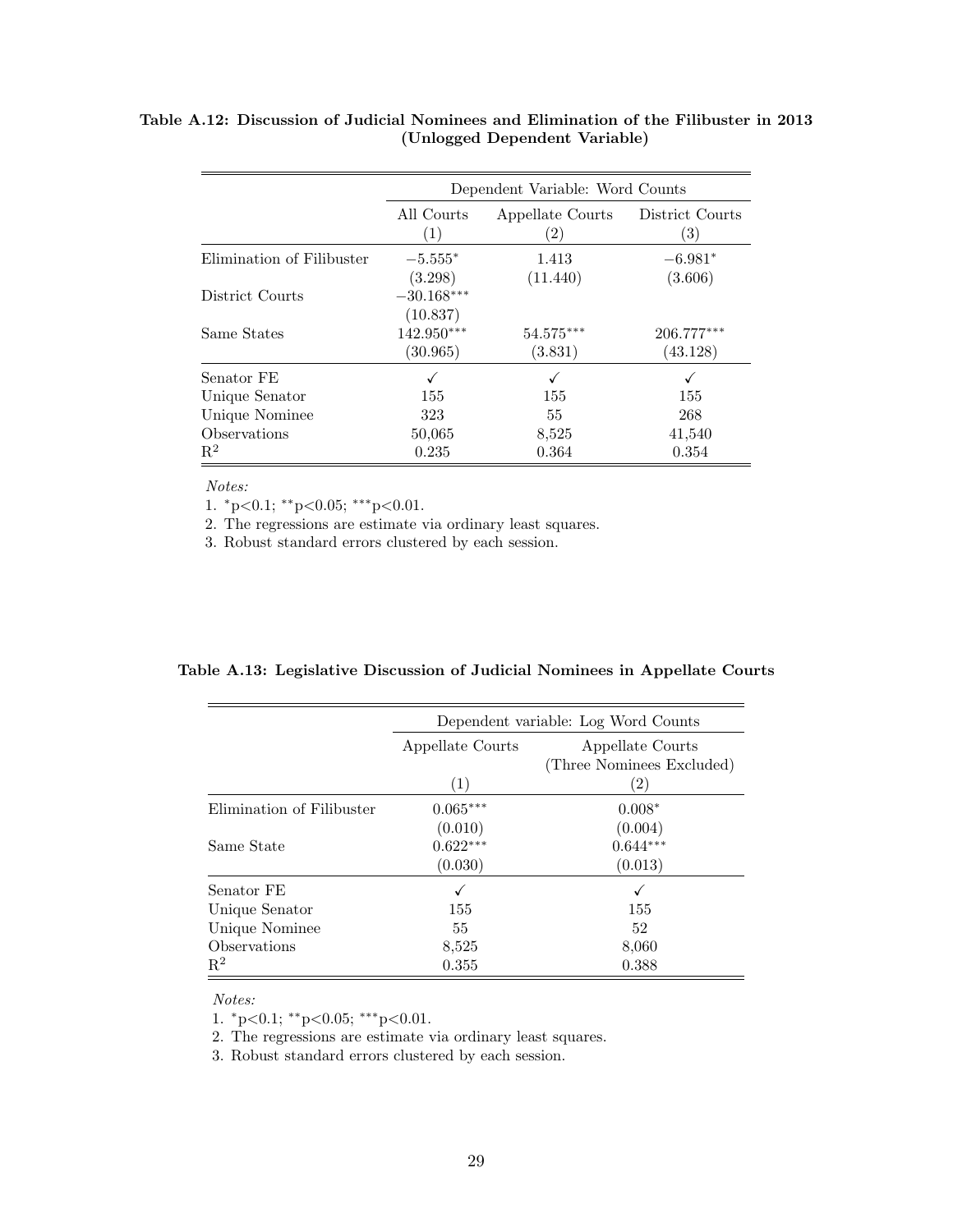|                           | Dependent Variable: Word Counts |                                       |                          |  |
|---------------------------|---------------------------------|---------------------------------------|--------------------------|--|
|                           | All Courts<br>(1)               | Appellate Courts<br>$\left( 2\right)$ | District Courts<br>(3)   |  |
| Elimination of Filibuster | $-5.555*$<br>(3.298)            | 1.413<br>(11.440)                     | $-6.981*$<br>(3.606)     |  |
| District Courts           | $-30.168***$<br>(10.837)        |                                       |                          |  |
| Same States               | 142.950***<br>(30.965)          | 54.575***<br>(3.831)                  | $206.777***$<br>(43.128) |  |
| Senator FE                |                                 |                                       |                          |  |
| Unique Senator            | 155                             | 155                                   | 155                      |  |
| Unique Nominee            | 323                             | 55                                    | 268                      |  |
| Observations              | 50,065                          | 8,525                                 | 41,540                   |  |
| $\mathrm{R}^2$            | 0.235                           | 0.364                                 | 0.354                    |  |

### Table A.12: Discussion of Judicial Nominees and Elimination of the Filibuster in 2013 (Unlogged Dependent Variable)

Notes:

1.  ${}^*p<0.1$ ;  ${}^{**}p<0.05$ ;  ${}^{***}p<0.01$ .

2. The regressions are estimate via ordinary least squares.

3. Robust standard errors clustered by each session.

| Dependent variable: Log Word Counts |                           |  |  |
|-------------------------------------|---------------------------|--|--|
| Appellate Courts                    | Appellate Courts          |  |  |
|                                     | (Three Nominees Excluded) |  |  |
| (1)                                 | $\left( 2\right)$         |  |  |
| $0.065***$                          | $0.008*$                  |  |  |
| (0.010)                             | (0.004)                   |  |  |
| $0.622***$                          | $0.644***$                |  |  |
| (0.030)                             | (0.013)                   |  |  |
| √                                   | √                         |  |  |
| 155                                 | 155                       |  |  |
| 55                                  | 52                        |  |  |
| 8,525                               | 8,060                     |  |  |
| 0.355                               | 0.388                     |  |  |
|                                     |                           |  |  |

Notes:

1. <sup>∗</sup>p<0.1; ∗∗p<0.05; ∗∗∗p<0.01.

2. The regressions are estimate via ordinary least squares.